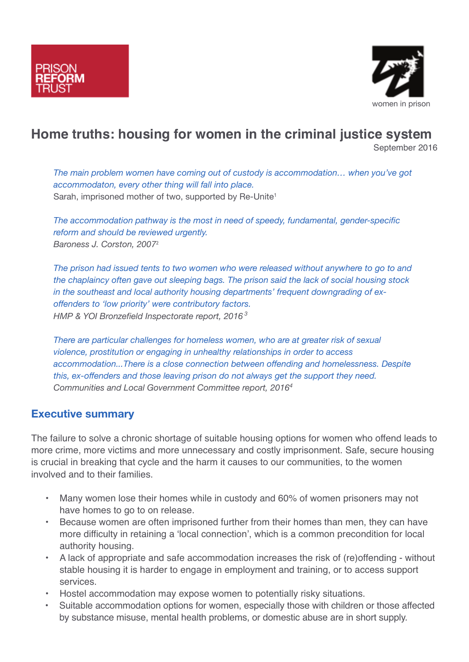



# **Home truths: housing for women in the criminal justice system**

September 2016

*The main problem women have coming out of custody is accommodation… when you've got accommodaton, every other thing will fall into place.* Sarah, imprisoned mother of two, supported by Re-Unite<sup>1</sup>

*The accommodation pathway is the most in need of speedy, fundamental, gender-specific reform and should be reviewed urgently. Baroness J. Corston, 2007*<sup>2</sup>

*The prison had issued tents to two women who were released without anywhere to go to and the chaplaincy often gave out sleeping bags. The prison said the lack of social housing stock in the southeast and local authority housing departments' frequent downgrading of exoffenders to 'low priority' were contributory factors. HMP & YOI Bronzefield Inspectorate report, 2016 <sup>3</sup>*

*There are particular challenges for homeless women, who are at greater risk of sexual violence, prostitution or engaging in unhealthy relationships in order to access accommodation...There is a close connection between offending and homelessness. Despite this, ex-offenders and those leaving prison do not always get the support they need. Communities and Local Government Committee report, 20164*

## **Executive summary**

The failure to solve a chronic shortage of suitable housing options for women who offend leads to more crime, more victims and more unnecessary and costly imprisonment. Safe, secure housing is crucial in breaking that cycle and the harm it causes to our communities, to the women involved and to their families.

- Many women lose their homes while in custody and 60% of women prisoners may not have homes to go to on release.
- Because women are often imprisoned further from their homes than men, they can have more difficulty in retaining a 'local connection', which is a common precondition for local authority housing.
- A lack of appropriate and safe accommodation increases the risk of (re)offending without stable housing it is harder to engage in employment and training, or to access support services.
- Hostel accommodation may expose women to potentially risky situations.
- Suitable accommodation options for women, especially those with children or those affected by substance misuse, mental health problems, or domestic abuse are in short supply.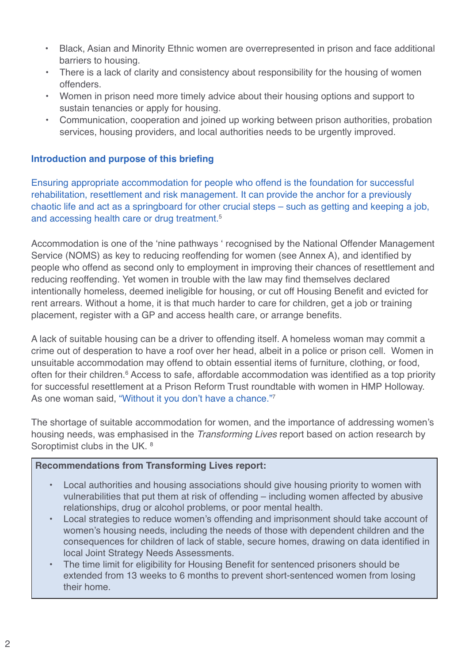- Black, Asian and Minority Ethnic women are overrepresented in prison and face additional barriers to housing.
- There is a lack of clarity and consistency about responsibility for the housing of women offenders.
- Women in prison need more timely advice about their housing options and support to sustain tenancies or apply for housing.
- Communication, cooperation and joined up working between prison authorities, probation services, housing providers, and local authorities needs to be urgently improved.

## **Introduction and purpose of this briefing**

Ensuring appropriate accommodation for people who offend is the foundation for successful rehabilitation, resettlement and risk management. It can provide the anchor for a previously chaotic life and act as a springboard for other crucial steps – such as getting and keeping a job, and accessing health care or drug treatment. 5

Accommodation is one of the 'nine pathways ' recognised by the National Offender Management Service (NOMS) as key to reducing reoffending for women (see Annex A), and identified by people who offend as second only to employment in improving their chances of resettlement and reducing reoffending. Yet women in trouble with the law may find themselves declared intentionally homeless, deemed ineligible for housing, or cut off Housing Benefit and evicted for rent arrears. Without a home, it is that much harder to care for children, get a job or training placement, register with a GP and access health care, or arrange benefits.

A lack of suitable housing can be a driver to offending itself. A homeless woman may commit a crime out of desperation to have a roof over her head, albeit in a police or prison cell. Women in unsuitable accommodation may offend to obtain essential items of furniture, clothing, or food, often for their children. <sup>6</sup> Access to safe, affordable accommodation was identified as a top priority for successful resettlement at a Prison Reform Trust roundtable with women in HMP Holloway. As one woman said, "Without it you don't have a chance."7

The shortage of suitable accommodation for women, and the importance of addressing women's housing needs, was emphasised in the *Transforming Lives* report based on action research by Soroptimist clubs in the UK. 8

## **Recommendations from Transforming Lives report:**

- Local authorities and housing associations should give housing priority to women with vulnerabilities that put them at risk of offending – including women affected by abusive relationships, drug or alcohol problems, or poor mental health.
- Local strategies to reduce women's offending and imprisonment should take account of women's housing needs, including the needs of those with dependent children and the consequences for children of lack of stable, secure homes, drawing on data identified in local Joint Strategy Needs Assessments.
- The time limit for eligibility for Housing Benefit for sentenced prisoners should be extended from 13 weeks to 6 months to prevent short-sentenced women from losing their home.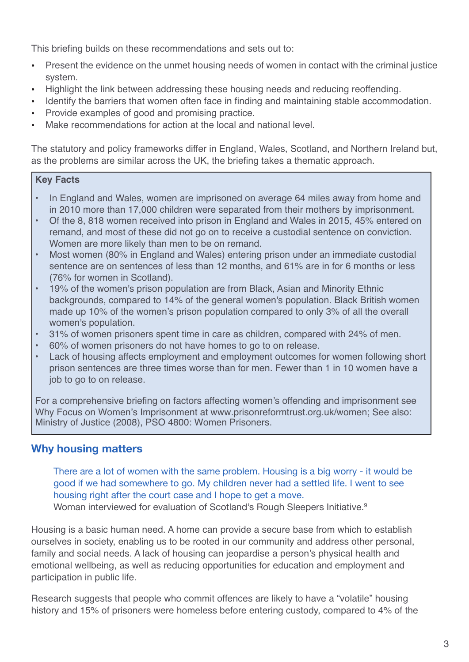This briefing builds on these recommendations and sets out to:

- Present the evidence on the unmet housing needs of women in contact with the criminal justice system.
- Highlight the link between addressing these housing needs and reducing reoffending.
- Identify the barriers that women often face in finding and maintaining stable accommodation.
- Provide examples of good and promising practice.
- Make recommendations for action at the local and national level.

The statutory and policy frameworks differ in England, Wales, Scotland, and Northern Ireland but, as the problems are similar across the UK, the briefing takes a thematic approach.

#### **Key Facts**

- In England and Wales, women are imprisoned on average 64 miles away from home and in 2010 more than 17,000 children were separated from their mothers by imprisonment.
- Of the 8, 818 women received into prison in England and Wales in 2015, 45% entered on remand, and most of these did not go on to receive a custodial sentence on conviction. Women are more likely than men to be on remand.
- Most women (80% in England and Wales) entering prison under an immediate custodial sentence are on sentences of less than 12 months, and 61% are in for 6 months or less (76% for women in Scotland).
- 19% of the women's prison population are from Black, Asian and Minority Ethnic backgrounds, compared to 14% of the general women's population. Black British women made up 10% of the women's prison population compared to only 3% of all the overall women's population.
- 31% of women prisoners spent time in care as children, compared with 24% of men.
- 60% of women prisoners do not have homes to go to on release.
- Lack of housing affects employment and employment outcomes for women following short prison sentences are three times worse than for men. Fewer than 1 in 10 women have a job to go to on release.

For a comprehensive briefing on factors affecting women's offending and imprisonment see Why Focus on Women's Imprisonment at www.prisonreformtrust.org.uk/women; See also: Ministry of Justice (2008), PSO 4800: Women Prisoners.

## **Why housing matters**

There are a lot of women with the same problem. Housing is a big worry - it would be good if we had somewhere to go. My children never had a settled life. I went to see housing right after the court case and I hope to get a move. Woman interviewed for evaluation of Scotland's Rough Sleepers Initiative.<sup>9</sup>

Housing is a basic human need. A home can provide a secure base from which to establish ourselves in society, enabling us to be rooted in our community and address other personal, family and social needs. A lack of housing can jeopardise a person's physical health and emotional wellbeing, as well as reducing opportunities for education and employment and participation in public life.

Research suggests that people who commit offences are likely to have a "volatile" housing history and 15% of prisoners were homeless before entering custody, compared to 4% of the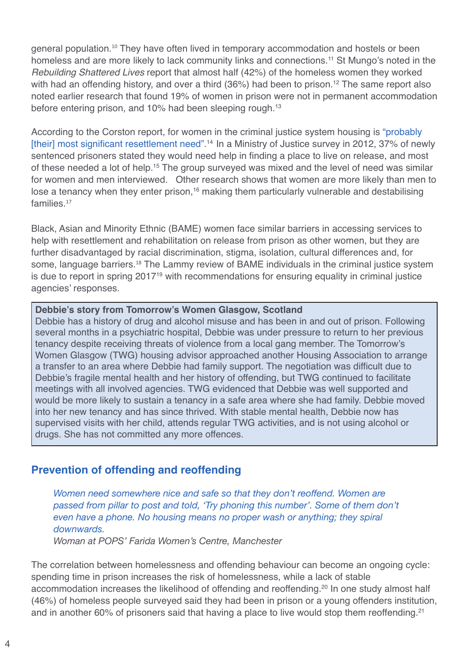general population. <sup>10</sup> They have often lived in temporary accommodation and hostels or been homeless and are more likely to lack community links and connections. <sup>11</sup> St Mungo's noted in the *Rebuilding Shattered Lives* report that almost half (42%) of the homeless women they worked with had an offending history, and over a third (36%) had been to prison. <sup>12</sup> The same report also noted earlier research that found 19% of women in prison were not in permanent accommodation before entering prison, and 10% had been sleeping rough. 13

According to the Corston report, for women in the criminal justice system housing is "probably [their] most significant resettlement need". <sup>14</sup> In a Ministry of Justice survey in 2012, 37% of newly sentenced prisoners stated they would need help in finding a place to live on release, and most of these needed a lot of help.<sup>15</sup> The group surveyed was mixed and the level of need was similar for women and men interviewed. Other research shows that women are more likely than men to lose a tenancy when they enter prison,<sup>16</sup> making them particularly vulnerable and destabilising families. 17

Black, Asian and Minority Ethnic (BAME) women face similar barriers in accessing services to help with resettlement and rehabilitation on release from prison as other women, but they are further disadvantaged by racial discrimination, stigma, isolation, cultural differences and, for some, language barriers.<sup>18</sup> The Lammy review of BAME individuals in the criminal justice system is due to report in spring 2017<sup>19</sup> with recommendations for ensuring equality in criminal justice agencies' responses.

#### **Debbie's story from Tomorrow's Women Glasgow, Scotland**

Debbie has a history of drug and alcohol misuse and has been in and out of prison. Following several months in a psychiatric hospital, Debbie was under pressure to return to her previous tenancy despite receiving threats of violence from a local gang member. The Tomorrow's Women Glasgow (TWG) housing advisor approached another Housing Association to arrange a transfer to an area where Debbie had family support. The negotiation was difficult due to Debbie's fragile mental health and her history of offending, but TWG continued to facilitate meetings with all involved agencies. TWG evidenced that Debbie was well supported and would be more likely to sustain a tenancy in a safe area where she had family. Debbie moved into her new tenancy and has since thrived. With stable mental health, Debbie now has supervised visits with her child, attends regular TWG activities, and is not using alcohol or drugs. She has not committed any more offences.

## **Prevention of offending and reoffending**

*Women need somewhere nice and safe so that they don't reoffend. Women are passed from pillar to post and told, 'Try phoning this number'. Some of them don't even have a phone. No housing means no proper wash or anything; they spiral downwards. Woman at POPS' Farida Women's Centre, Manchester*

The correlation between homelessness and offending behaviour can become an ongoing cycle: spending time in prison increases the risk of homelessness, while a lack of stable accommodation increases the likelihood of offending and reoffending. <sup>20</sup> In one study almost half (46%) of homeless people surveyed said they had been in prison or a young offenders institution, and in another 60% of prisoners said that having a place to live would stop them reoffending.<sup>21</sup>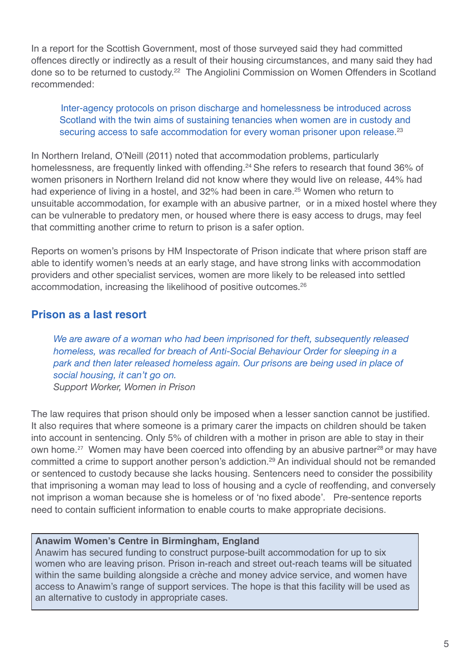In a report for the Scottish Government, most of those surveyed said they had committed offences directly or indirectly as a result of their housing circumstances, and many said they had done so to be returned to custody. <sup>22</sup> The Angiolini Commission on Women Offenders in Scotland recommended:

## Inter-agency protocols on prison discharge and homelessness be introduced across Scotland with the twin aims of sustaining tenancies when women are in custody and securing access to safe accommodation for every woman prisoner upon release.<sup>23</sup>

In Northern Ireland, O'Neill (2011) noted that accommodation problems, particularly homelessness, are frequently linked with offending. <sup>24</sup> She refers to research that found 36% of women prisoners in Northern Ireland did not know where they would live on release, 44% had had experience of living in a hostel, and 32% had been in care. <sup>25</sup> Women who return to unsuitable accommodation, for example with an abusive partner, or in a mixed hostel where they can be vulnerable to predatory men, or housed where there is easy access to drugs, may feel that committing another crime to return to prison is a safer option.

Reports on women's prisons by HM Inspectorate of Prison indicate that where prison staff are able to identify women's needs at an early stage, and have strong links with accommodation providers and other specialist services, women are more likely to be released into settled accommodation, increasing the likelihood of positive outcomes. 26

## **Prison as a last resort**

*We are aware of a woman who had been imprisoned for theft, subsequently released homeless, was recalled for breach of Anti-Social Behaviour Order for sleeping in a park and then later released homeless again. Our prisons are being used in place of social housing, it can't go on. Support Worker, Women in Prison*

The law requires that prison should only be imposed when a lesser sanction cannot be justified. It also requires that where someone is a primary carer the impacts on children should be taken into account in sentencing. Only 5% of children with a mother in prison are able to stay in their own home.<sup>27</sup> Women may have been coerced into offending by an abusive partner<sup>28</sup> or may have committed a crime to support another person's addiction. <sup>29</sup> An individual should not be remanded or sentenced to custody because she lacks housing. Sentencers need to consider the possibility that imprisoning a woman may lead to loss of housing and a cycle of reoffending, and conversely not imprison a woman because she is homeless or of 'no fixed abode'. Pre-sentence reports need to contain sufficient information to enable courts to make appropriate decisions.

## **Anawim Women's Centre in Birmingham, England**

Anawim has secured funding to construct purpose-built accommodation for up to six women who are leaving prison. Prison in-reach and street out-reach teams will be situated within the same building alongside a crèche and money advice service, and women have access to Anawim's range of support services. The hope is that this facility will be used as an alternative to custody in appropriate cases.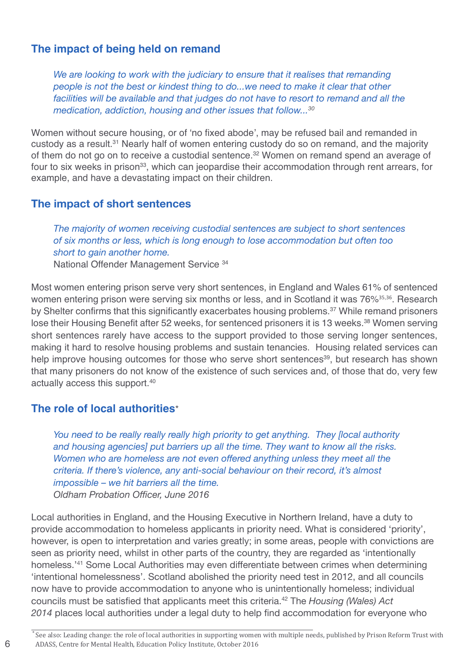## **The impact of being held on remand**

*We are looking to work with the judiciary to ensure that it realises that remanding people is not the best or kindest thing to do...we need to make it clear that other facilities will be available and that judges do not have to resort to remand and all the medication, addiction, housing and other issues that follow... 30*

Women without secure housing, or of 'no fixed abode', may be refused bail and remanded in custody as a result.<sup>31</sup> Nearly half of women entering custody do so on remand, and the majority of them do not go on to receive a custodial sentence. <sup>32</sup> Women on remand spend an average of four to six weeks in prison<sup>33</sup>, which can jeopardise their accommodation through rent arrears, for example, and have a devastating impact on their children.

## **The impact of short sentences**

*The majority of women receiving custodial sentences are subject to short sentences of six months or less, which is long enough to lose accommodation but often too short to gain another home.* National Offender Management Service <sup>34</sup>

Most women entering prison serve very short sentences, in England and Wales 61% of sentenced women entering prison were serving six months or less, and in Scotland it was 76%<sup>35,36</sup>. Research by Shelter confirms that this significantly exacerbates housing problems. <sup>37</sup> While remand prisoners lose their Housing Benefit after 52 weeks, for sentenced prisoners it is 13 weeks. <sup>38</sup> Women serving short sentences rarely have access to the support provided to those serving longer sentences, making it hard to resolve housing problems and sustain tenancies. Housing related services can help improve housing outcomes for those who serve short sentences<sup>39</sup>, but research has shown that many prisoners do not know of the existence of such services and, of those that do, very few actually access this support. 40

## **The role of local authorities**\*

6

*You need to be really really really high priority to get anything. They [local authority and housing agencies] put barriers up all the time. They want to know all the risks. Women who are homeless are not even offered anything unless they meet all the criteria. If there's violence, any anti-social behaviour on their record, it's almost impossible – we hit barriers all the time. Oldham Probation Officer, June 2016*

Local authorities in England, and the Housing Executive in Northern Ireland, have a duty to provide accommodation to homeless applicants in priority need. What is considered 'priority', however, is open to interpretation and varies greatly; in some areas, people with convictions are seen as priority need, whilst in other parts of the country, they are regarded as 'intentionally homeless.' <sup>41</sup> Some Local Authorities may even differentiate between crimes when determining 'intentional homelessness'. Scotland abolished the priority need test in 2012, and all councils now have to provide accommodation to anyone who is unintentionally homeless; individual councils must be satisfied that applicants meet this criteria. <sup>42</sup> The *[Housing](http://www.legislation.gov.uk/anaw/2014/7/pdfs/anaw_20140007_en.pdf) (Wales) Act [2014](http://www.legislation.gov.uk/anaw/2014/7/pdfs/anaw_20140007_en.pdf)* places local authorities under a legal duty to help find accommodation for everyone who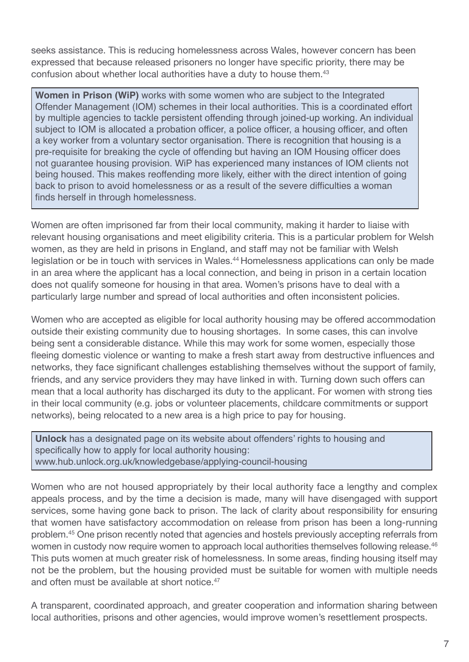seeks assistance. This is reducing homelessness across Wales, however concern has been expressed that because released prisoners no longer have specific priority, there may be confusion about whether local authorities have a duty to house them. 43

**Women in Prison (WiP)** works with some women who are subject to the Integrated Offender Management (IOM) schemes in their local authorities. This is a coordinated effort by multiple agencies to tackle persistent offending through joined-up working. An individual subject to IOM is allocated a probation officer, a police officer, a housing officer, and often a key worker from a voluntary sector organisation. There is recognition that housing is a pre-requisite for breaking the cycle of offending but having an IOM Housing officer does not guarantee housing provision. WiP has experienced many instances of IOM clients not being housed. This makes reoffending more likely, either with the direct intention of going back to prison to avoid homelessness or as a result of the severe difficulties a woman finds herself in through homelessness.

Women are often imprisoned far from their local community, making it harder to liaise with relevant housing organisations and meet eligibility criteria. This is a particular problem for Welsh women, as they are held in prisons in England, and staff may not be familiar with Welsh legislation or be in touch with services in Wales.<sup>44</sup> Homelessness applications can only be made in an area where the applicant has a local connection, and being in prison in a certain location does not qualify someone for housing in that area. Women's prisons have to deal with a particularly large number and spread of local authorities and often inconsistent policies.

Women who are accepted as eligible for local authority housing may be offered accommodation outside their existing community due to housing shortages. In some cases, this can involve being sent a considerable distance. While this may work for some women, especially those fleeing domestic violence or wanting to make a fresh start away from destructive influences and networks, they face significant challenges establishing themselves without the support of family, friends, and any service providers they may have linked in with. Turning down such offers can mean that a local authority has discharged its duty to the applicant. For women with strong ties in their local community (e.g. jobs or volunteer placements, childcare commitments or support networks), being relocated to a new area is a high price to pay for housing.

**Unlock** has a designated page on its website about offenders' rights to housing and specifically how to apply for local authority housing: www.hub.unlock.org.uk/knowledgebase/applying-council-housing

Women who are not housed appropriately by their local authority face a lengthy and complex appeals process, and by the time a decision is made, many will have disengaged with support services, some having gone back to prison. The lack of clarity about responsibility for ensuring that women have satisfactory accommodation on release from prison has been a long-running problem. <sup>45</sup> One prison recently noted that agencies and hostels previously accepting referrals from women in custody now require women to approach local authorities themselves following release.<sup>46</sup> This puts women at much greater risk of homelessness. In some areas, finding housing itself may not be the problem, but the housing provided must be suitable for women with multiple needs and often must be available at short notice. 47

A transparent, coordinated approach, and greater cooperation and information sharing between local authorities, prisons and other agencies, would improve women's resettlement prospects.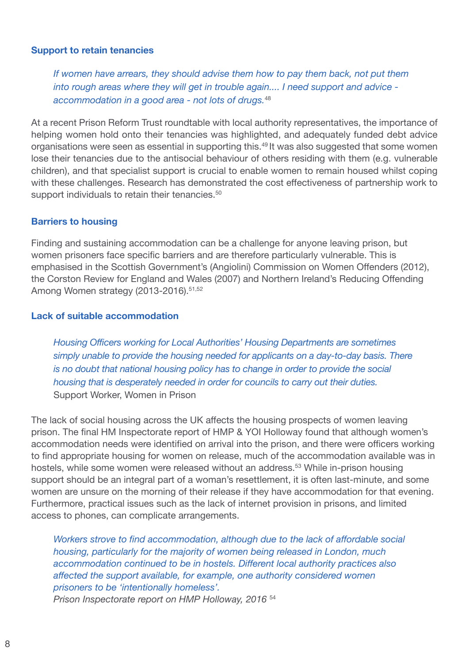#### **Support to retain tenancies**

*If women have arrears, they should advise them how to pay them back, not put them into rough areas where they will get in trouble again.... I need support and advice accommodation in a good area - not lots of drugs.* 48

At a recent Prison Reform Trust roundtable with local authority representatives, the importance of helping women hold onto their tenancies was highlighted, and adequately funded debt advice organisations were seen as essential in supporting this. <sup>49</sup> It was also suggested that some women lose their tenancies due to the antisocial behaviour of others residing with them (e.g. vulnerable children), and that specialist support is crucial to enable women to remain housed whilst coping with these challenges. Research has demonstrated the cost effectiveness of partnership work to support individuals to retain their tenancies.<sup>50</sup>

#### **Barriers to housing**

Finding and sustaining accommodation can be a challenge for anyone leaving prison, but women prisoners face specific barriers and are therefore particularly vulnerable. This is emphasised in the Scottish Government's (Angiolini) Commission on Women Offenders (2012), the Corston Review for England and Wales (2007) and Northern Ireland's Reducing Offending Among Women strategy (2013-2016).<sup>51,52</sup>

#### **Lack of suitable accommodation**

*Housing Officers working for Local Authorities' Housing Departments are sometimes simply unable to provide the housing needed for applicants on a day-to-day basis. There is no doubt that national housing policy has to change in order to provide the social housing that is desperately needed in order for councils to carry out their duties.* Support Worker, Women in Prison

The lack of social housing across the UK affects the housing prospects of women leaving prison. The final HM Inspectorate report of HMP & YOI Holloway found that although women's accommodation needs were identified on arrival into the prison, and there were officers working to find appropriate housing for women on release, much of the accommodation available was in hostels, while some women were released without an address.<sup>53</sup> While in-prison housing support should be an integral part of a woman's resettlement, it is often last-minute, and some women are unsure on the morning of their release if they have accommodation for that evening. Furthermore, practical issues such as the lack of internet provision in prisons, and limited access to phones, can complicate arrangements.

*Workers strove to find accommodation, although due to the lack of affordable social housing, particularly for the majority of women being released in London, much accommodation continued to be in hostels. Different local authority practices also affected the support available, for example, one authority considered women prisoners to be 'intentionally homeless'. Prison Inspectorate report on HMP Holloway, 2016* <sup>54</sup>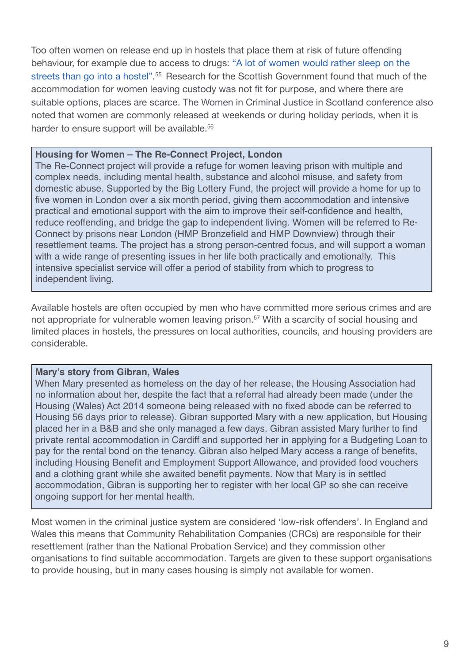Too often women on release end up in hostels that place them at risk of future offending behaviour, for example due to access to drugs: "A lot of women would rather sleep on the streets than go into a hostel".<sup>55</sup> Research for the Scottish Government found that much of the accommodation for women leaving custody was not fit for purpose, and where there are suitable options, places are scarce. The Women in Criminal Justice in Scotland conference also noted that women are commonly released at weekends or during holiday periods, when it is harder to ensure support will be available.<sup>56</sup>

#### **Housing for Women – The Re-Connect Project, London**

The Re-Connect project will provide a refuge for women leaving prison with multiple and complex needs, including mental health, substance and alcohol misuse, and safety from domestic abuse. Supported by the Big Lottery Fund, the project will provide a home for up to five women in London over a six month period, giving them accommodation and intensive practical and emotional support with the aim to improve their self-confidence and health, reduce reoffending, and bridge the gap to independent living. Women will be referred to Re-Connect by prisons near London (HMP Bronzefield and HMP Downview) through their resettlement teams. The project has a strong person-centred focus, and will support a woman with a wide range of presenting issues in her life both practically and emotionally. This intensive specialist service will offer a period of stability from which to progress to independent living.

Available hostels are often occupied by men who have committed more serious crimes and are not appropriate for vulnerable women leaving prison.<sup>57</sup> With a scarcity of social housing and limited places in hostels, the pressures on local authorities, councils, and housing providers are considerable.

## **Mary's story from Gibran, Wales**

When Mary presented as homeless on the day of her release, the Housing Association had no information about her, despite the fact that a referral had already been made (under the Housing (Wales) Act 2014 someone being released with no fixed abode can be referred to Housing 56 days prior to release). Gibran supported Mary with a new application, but Housing placed her in a B&B and she only managed a few days. Gibran assisted Mary further to find private rental accommodation in Cardiff and supported her in applying for a Budgeting Loan to pay for the rental bond on the tenancy. Gibran also helped Mary access a range of benefits, including Housing Benefit and Employment Support Allowance, and provided food vouchers and a clothing grant while she awaited benefit payments. Now that Mary is in settled accommodation, Gibran is supporting her to register with her local GP so she can receive ongoing support for her mental health.

Most women in the criminal justice system are considered 'low-risk offenders'. In England and Wales this means that Community Rehabilitation Companies (CRCs) are responsible for their resettlement (rather than the National Probation Service) and they commission other organisations to find suitable accommodation. Targets are given to these support organisations to provide housing, but in many cases housing is simply not available for women.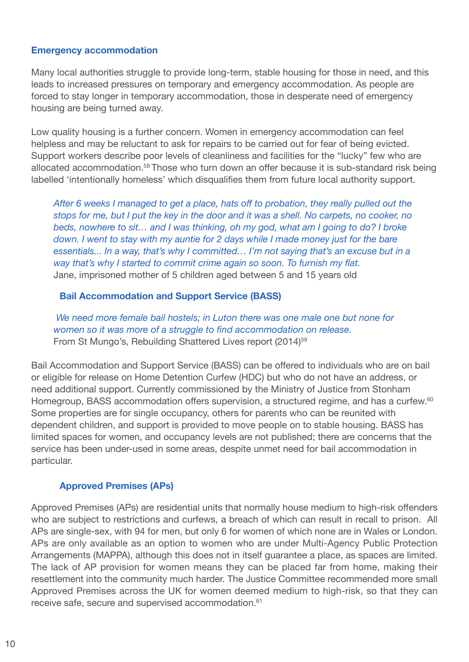#### **Emergency accommodation**

Many local authorities struggle to provide long-term, stable housing for those in need, and this leads to increased pressures on temporary and emergency accommodation. As people are forced to stay longer in temporary accommodation, those in desperate need of emergency housing are being turned away.

Low quality housing is a further concern. Women in emergency accommodation can feel helpless and may be reluctant to ask for repairs to be carried out for fear of being evicted. Support workers describe poor levels of cleanliness and facilities for the "lucky" few who are allocated accommodation. <sup>58</sup> Those who turn down an offer because it is sub-standard risk being labelled 'intentionally homeless' which disqualifies them from future local authority support.

*After 6 weeks I managed to get a place, hats off to probation, they really pulled out the* stops for me, but I put the key in the door and it was a shell. No carpets, no cooker, no *beds, nowhere to sit… and I was thinking, oh my god, what am I going to do? I broke down. I went to stay with my auntie for 2 days while I made money just for the bare essentials... In a way, that's why I committed… I'm not saying that's an excuse but in a way that's why I started to commit crime again so soon. To furnish my flat.* Jane, imprisoned mother of 5 children aged between 5 and 15 years old

## **Bail Accommodation and Support Service (BASS)**

*We need more female bail hostels; in Luton there was one male one but none for women so it was more of a struggle to find accommodation on release.* From St Mungo's, Rebuilding Shattered Lives report (2014)<sup>59</sup>

Bail Accommodation and Support Service (BASS) can be offered to individuals who are on bail or eligible for release on Home Detention Curfew (HDC) but who do not have an address, or need additional support. Currently commissioned by the Ministry of Justice from Stonham Homegroup, BASS accommodation offers supervision, a structured regime, and has a curfew.<sup>60</sup> Some properties are for single occupancy, others for parents who can be reunited with dependent children, and support is provided to move people on to stable housing. BASS has limited spaces for women, and occupancy levels are not published; there are concerns that the service has been under-used in some areas, despite unmet need for bail accommodation in particular.

## **Approved Premises (APs)**

Approved Premises (APs) are residential units that normally house medium to high-risk offenders who are subject to restrictions and curfews, a breach of which can result in recall to prison. All APs are single-sex, with 94 for men, but only 6 for women of which none are in Wales or London. APs are only available as an option to women who are under Multi-Agency Public Protection Arrangements (MAPPA), although this does not in itself guarantee a place, as spaces are limited. The lack of AP provision for women means they can be placed far from home, making their resettlement into the community much harder. The Justice Committee recommended more small Approved Premises across the UK for women deemed medium to high-risk, so that they can receive safe, secure and supervised accommodation. 61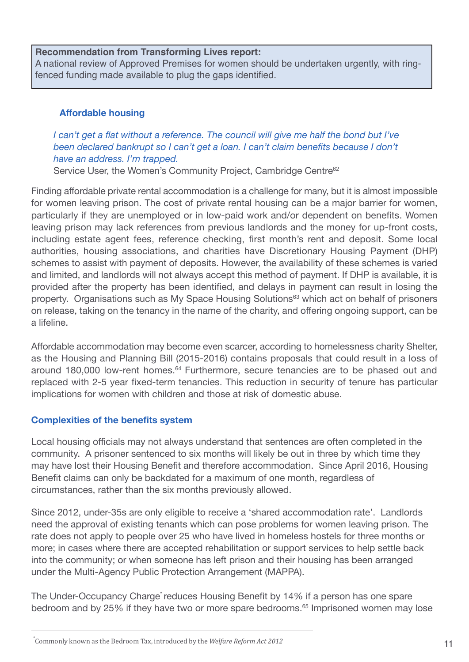#### **Recommendation from Transforming Lives report:**

A national review of Approved Premises for women should be undertaken urgently, with ringfenced funding made available to plug the gaps identified.

## **Affordable housing**

## *I can't get a flat without a reference. The council will give me half the bond but I've been declared bankrupt so I can't get a loan. I can't claim benefits because I don't have an address. I'm trapped.*

Service User, the Women's Community Project, Cambridge Centre<sup>62</sup>

Finding affordable private rental accommodation is a challenge for many, but it is almost impossible for women leaving prison. The cost of private rental housing can be a major barrier for women, particularly if they are unemployed or in low-paid work and/or dependent on benefits. Women leaving prison may lack references from previous landlords and the money for up-front costs, including estate agent fees, reference checking, first month's rent and deposit. Some local authorities, housing associations, and charities have Discretionary Housing Payment (DHP) schemes to assist with payment of deposits. However, the availability of these schemes is varied and limited, and landlords will not always accept this method of payment. If DHP is available, it is provided after the property has been identified, and delays in payment can result in losing the property. Organisations such as My Space Housing Solutions<sup>63</sup> which act on behalf of prisoners on release, taking on the tenancy in the name of the charity, and offering ongoing support, can be a lifeline.

Affordable accommodation may become even scarcer, according to homelessness charity Shelter, as the Housing and Planning Bill (2015-2016) contains proposals that could result in a loss of around 180,000 low-rent homes.<sup>64</sup> Furthermore, secure tenancies are to be phased out and replaced with 2-5 year fixed-term tenancies. This reduction in security of tenure has particular implications for women with children and those at risk of domestic abuse.

## **Complexities of the benefits system**

Local housing officials may not always understand that sentences are often completed in the community. A prisoner sentenced to six months will likely be out in three by which time they may have lost their Housing Benefit and therefore accommodation. Since April 2016, Housing Benefit claims can only be backdated for a maximum of one month, regardless of circumstances, rather than the six months previously allowed.

Since 2012, under-35s are only eligible to receive a 'shared accommodation rate'. Landlords need the approval of existing tenants which can pose problems for women leaving prison. The rate does not apply to people over 25 who have lived in homeless hostels for three months or more; in cases where there are accepted rehabilitation or support services to help settle back into the community; or when someone has left prison and their housing has been arranged under the Multi-Agency Public Protection Arrangement (MAPPA).

The Under-Occupancy Charge<sup>\*</sup> reduces Housing Benefit by 14% if a person has one spare bedroom and by 25% if they have two or more spare bedrooms. <sup>65</sup> Imprisoned women may lose

<sup>\*</sup> Commonly known as the Bedroom Tax, introduced by the *Welfare Reform Act 2012*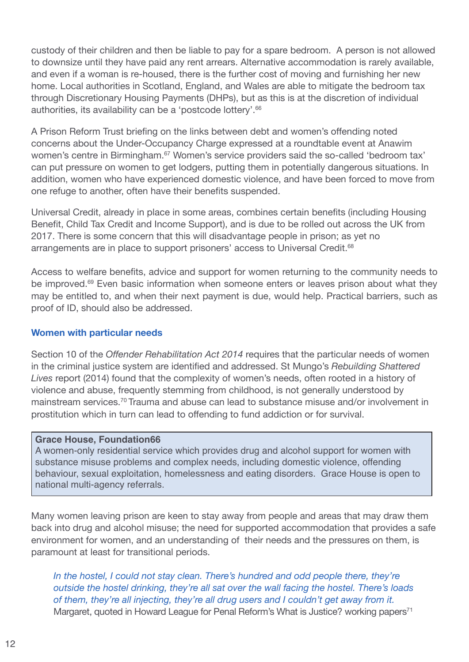custody of their children and then be liable to pay for a spare bedroom. A person is not allowed to downsize until they have paid any rent arrears. Alternative accommodation is rarely available, and even if a woman is re-housed, there is the further cost of moving and furnishing her new home. Local authorities in Scotland, England, and Wales are able to mitigate the bedroom tax through Discretionary Housing Payments (DHPs), but as this is at the discretion of individual authorities, its availability can be a 'postcode lottery'. 66

A Prison Reform Trust briefing on the links between debt and women's offending noted concerns about the Under-Occupancy Charge expressed at a roundtable event at Anawim women's centre in Birmingham.<sup>67</sup> Women's service providers said the so-called 'bedroom tax' can put pressure on women to get lodgers, putting them in potentially dangerous situations. In addition, women who have experienced domestic violence, and have been forced to move from one refuge to another, often have their benefits suspended.

Universal Credit, already in place in some areas, combines certain benefits (including Housing Benefit, Child Tax Credit and Income Support), and is due to be rolled out across the UK from 2017. There is some concern that this will disadvantage people in prison; as yet no arrangements are in place to support prisoners' access to Universal Credit.<sup>68</sup>

Access to welfare benefits, advice and support for women returning to the community needs to be improved.<sup>69</sup> Even basic information when someone enters or leaves prison about what they may be entitled to, and when their next payment is due, would help. Practical barriers, such as proof of ID, should also be addressed.

### **Women with particular needs**

Section 10 of the *Offender Rehabilitation Act 2014* requires that the particular needs of women in the criminal justice system are identified and addressed. St Mungo's *Rebuilding Shattered Lives* report (2014) found that the complexity of women's needs, often rooted in a history of violence and abuse, frequently stemming from childhood, is not generally understood by mainstream services. <sup>70</sup> Trauma and abuse can lead to substance misuse and/or involvement in prostitution which in turn can lead to offending to fund addiction or for survival.

#### **Grace House, Foundation66**

A women-only residential service which provides drug and alcohol support for women with substance misuse problems and complex needs, including domestic violence, offending behaviour, sexual exploitation, homelessness and eating disorders. Grace House is open to national multi-agency referrals.

Many women leaving prison are keen to stay away from people and areas that may draw them back into drug and alcohol misuse; the need for supported accommodation that provides a safe environment for women, and an understanding of their needs and the pressures on them, is paramount at least for transitional periods.

*In the hostel, I could not stay clean. There's hundred and odd people there, they're outside the hostel drinking, they're all sat over the wall facing the hostel. There's loads of them, they're all injecting, they're all drug users and I couldn't get away from it.* Margaret, quoted in Howard League for Penal Reform's What is Justice? working papers<sup>71</sup>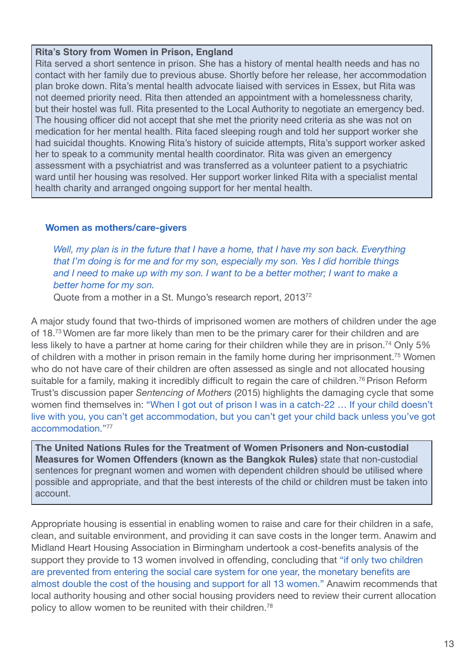#### **Rita's Story from Women in Prison, England**

Rita served a short sentence in prison. She has a history of mental health needs and has no contact with her family due to previous abuse. Shortly before her release, her accommodation plan broke down. Rita's mental health advocate liaised with services in Essex, but Rita was not deemed priority need. Rita then attended an appointment with a homelessness charity, but their hostel was full. Rita presented to the Local Authority to negotiate an emergency bed. The housing officer did not accept that she met the priority need criteria as she was not on medication for her mental health. Rita faced sleeping rough and told her support worker she had suicidal thoughts. Knowing Rita's history of suicide attempts, Rita's support worker asked her to speak to a community mental health coordinator. Rita was given an emergency assessment with a psychiatrist and was transferred as a volunteer patient to a psychiatric ward until her housing was resolved. Her support worker linked Rita with a specialist mental health charity and arranged ongoing support for her mental health.

#### **Women as mothers/care-givers**

*Well, my plan is in the future that I have a home, that I have my son back. Everything that I'm doing is for me and for my son, especially my son. Yes I did horrible things* and I need to make up with my son. I want to be a better mother: I want to make a *better home for my son.*

Quote from a mother in a St. Mungo's research report, 201372

A major study found that two-thirds of imprisoned women are mothers of children under the age of 18.<sup>73</sup> Women are far more likely than men to be the primary carer for their children and are less likely to have a partner at home caring for their children while they are in prison.<sup>74</sup> Only 5% of children with a mother in prison remain in the family home during her imprisonment.<sup>75</sup> Women who do not have care of their children are often assessed as single and not allocated housing suitable for a family, making it incredibly difficult to regain the care of children.<sup>76</sup> Prison Reform Trust's discussion paper *Sentencing of Mothers* (2015) highlights the damaging cycle that some women find themselves in: "When I got out of prison I was in a catch-22 … If your child doesn't live with you, you can't get accommodation, but you can't get your child back unless you've got accommodation<sup>"77</sup>

**The United Nations Rules for the Treatment of Women Prisoners and Non-custodial Measures for Women Offenders (known as the Bangkok Rules)** state that non-custodial sentences for pregnant women and women with dependent children should be utilised where possible and appropriate, and that the best interests of the child or children must be taken into account.

Appropriate housing is essential in enabling women to raise and care for their children in a safe, clean, and suitable environment, and providing it can save costs in the longer term. Anawim and Midland Heart Housing Association in Birmingham undertook a cost-benefits analysis of the support they provide to 13 women involved in offending, concluding that "if only two children are prevented from entering the social care system for one year, the monetary benefits are almost double the cost of the housing and support for all 13 women." Anawim recommends that local authority housing and other social housing providers need to review their current allocation policy to allow women to be reunited with their children.<sup>78</sup>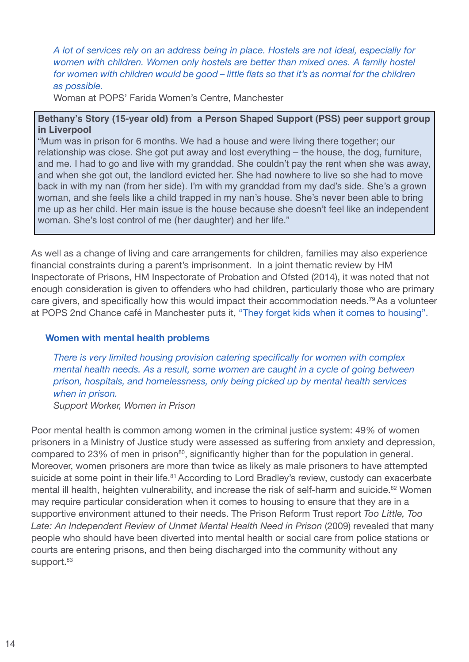## *A lot of services rely on an address being in place. Hostels are not ideal, especially for women with children. Women only hostels are better than mixed ones. A family hostel for women with children would be good – little flats so that it's as normal for the children as possible.*

Woman at POPS' Farida Women's Centre, Manchester

#### **Bethany's Story (15-year old) from a Person Shaped Support (PSS) peer support group in Liverpool**

"Mum was in prison for 6 months. We had a house and were living there together; our relationship was close. She got put away and lost everything – the house, the dog, furniture, and me. I had to go and live with my granddad. She couldn't pay the rent when she was away, and when she got out, the landlord evicted her. She had nowhere to live so she had to move back in with my nan (from her side). I'm with my granddad from my dad's side. She's a grown woman, and she feels like a child trapped in my nan's house. She's never been able to bring me up as her child. Her main issue is the house because she doesn't feel like an independent woman. She's lost control of me (her daughter) and her life."

As well as a change of living and care arrangements for children, families may also experience financial constraints during a parent's imprisonment. In a joint thematic review by HM Inspectorate of Prisons, HM Inspectorate of Probation and Ofsted (2014), it was noted that not enough consideration is given to offenders who had children, particularly those who are primary care givers, and specifically how this would impact their accommodation needs. <sup>79</sup> As a volunteer at POPS 2nd Chance café in Manchester puts it, "They forget kids when it comes to housing".

#### **Women with mental health problems**

*There is very limited housing provision catering specifically for women with complex mental health needs. As a result, some women are caught in a cycle of going between prison, hospitals, and homelessness, only being picked up by mental health services when in prison.*

*Support Worker, Women in Prison*

Poor mental health is common among women in the criminal justice system: 49% of women prisoners in a Ministry of Justice study were assessed as suffering from anxiety and depression, compared to 23% of men in prison<sup>80</sup>, significantly higher than for the population in general. Moreover, women prisoners are more than twice as likely as male prisoners to have attempted suicide at some point in their life.<sup>81</sup> According to Lord Bradley's review, custody can exacerbate mental ill health, heighten vulnerability, and increase the risk of self-harm and suicide.<sup>82</sup> Women may require particular consideration when it comes to housing to ensure that they are in a supportive environment attuned to their needs. The Prison Reform Trust report *Too [Little,](http://www.prisonreformtrust.org.uk/Portals/0/Documents/Too%20Little%20Too%20Late%20-%20a%20review%20of%20unmet%20mental%20health%20need%20in%20prison%20.pdf) Too Late: An [Independent](http://www.prisonreformtrust.org.uk/Portals/0/Documents/Too%20Little%20Too%20Late%20-%20a%20review%20of%20unmet%20mental%20health%20need%20in%20prison%20.pdf) Review of Unmet Mental Health Need in Prison* (2009) revealed that many people who should have been diverted into mental health or social care from police stations or courts are entering prisons, and then being discharged into the community without any support.<sup>83</sup>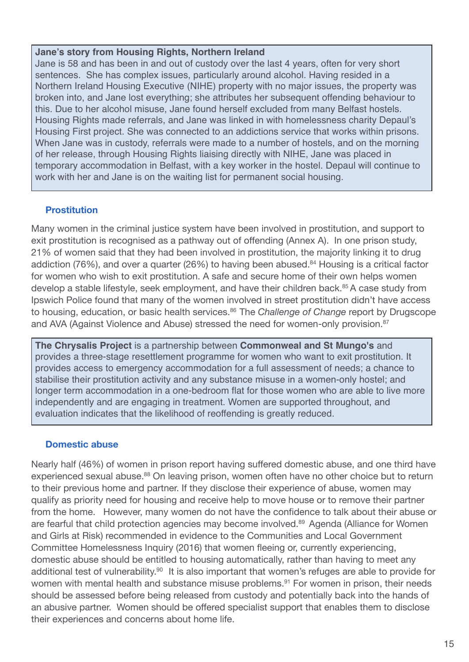#### **Jane's story from Housing Rights, Northern Ireland**

Jane is 58 and has been in and out of custody over the last 4 years, often for very short sentences. She has complex issues, particularly around alcohol. Having resided in a Northern Ireland Housing Executive (NIHE) property with no major issues, the property was broken into, and Jane lost everything; she attributes her subsequent offending behaviour to this. Due to her alcohol misuse, Jane found herself excluded from many Belfast hostels. Housing Rights made referrals, and Jane was linked in with homelessness charity Depaul's Housing First project. She was connected to an addictions service that works within prisons. When Jane was in custody, referrals were made to a number of hostels, and on the morning of her release, through Housing Rights liaising directly with NIHE, Jane was placed in temporary accommodation in Belfast, with a key worker in the hostel. Depaul will continue to work with her and Jane is on the waiting list for permanent social housing.

## **Prostitution**

Many women in the criminal justice system have been involved in prostitution, and support to exit prostitution is recognised as a pathway out of offending (Annex A). In one prison study, 21% of women said that they had been involved in prostitution, the majority linking it to drug addiction (76%), and over a quarter (26%) to having been abused.<sup>84</sup> Housing is a critical factor for women who wish to exit prostitution. A safe and secure home of their own helps women develop a stable lifestyle, seek employment, and have their children back. <sup>85</sup> A case study from Ipswich Police found that many of the women involved in street prostitution didn't have access to housing, education, or basic health services. <sup>86</sup> The *Challenge of Change* report by Drugscope and AVA (Against Violence and Abuse) stressed the need for women-only provision.<sup>87</sup>

**The Chrysalis Project** is a partnership between **Commonweal and St Mungo's** and provides a three-stage resettlement programme for women who want to exit prostitution. It provides access to emergency accommodation for a full assessment of needs; a chance to stabilise their prostitution activity and any substance misuse in a women-only hostel; and longer term accommodation in a one-bedroom flat for those women who are able to live more independently and are engaging in treatment. Women are supported throughout, and evaluation indicates that the likelihood of reoffending is greatly reduced.

## **Domestic abuse**

Nearly half (46%) of women in prison report having suffered domestic abuse, and one third have experienced sexual abuse.<sup>88</sup> On leaving prison, women often have no other choice but to return to their previous home and partner. If they disclose their experience of abuse, women may qualify as priority need for housing and receive help to move house or to remove their partner from the home. However, many women do not have the confidence to talk about their abuse or are fearful that child protection agencies may become involved. <sup>89</sup> Agenda (Alliance for Women and Girls at Risk) recommended in evidence to the Communities and Local Government Committee Homelessness Inquiry (2016) that women fleeing or, currently experiencing, domestic abuse should be entitled to housing automatically, rather than having to meet any additional test of vulnerability.<sup>90</sup> It is also important that women's refuges are able to provide for women with mental health and substance misuse problems.<sup>91</sup> For women in prison, their needs should be assessed before being released from custody and potentially back into the hands of an abusive partner. Women should be offered specialist support that enables them to disclose their experiences and concerns about home life.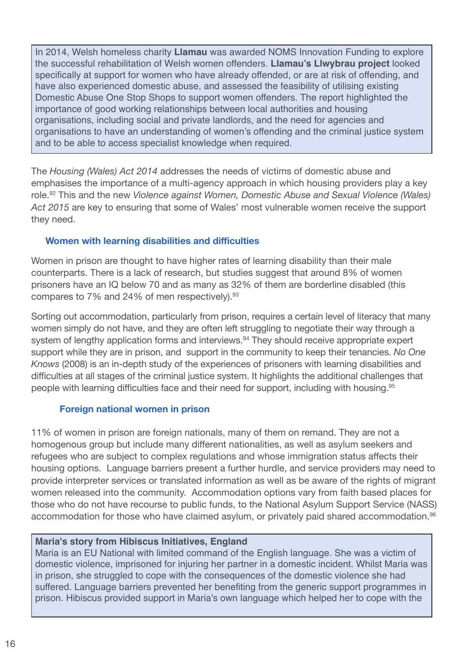In 2014, Welsh homeless charity **Llamau** was awarded NOMS Innovation Funding to explore the successful rehabilitation of Welsh women offenders. **Llamau's Llwybrau project** looked specifically at support for women who have already offended, or are at risk of offending, and have also experienced domestic abuse, and assessed the feasibility of utilising existing Domestic Abuse One Stop Shops to support women offenders. The report highlighted the importance of good working relationships between local authorities and housing organisations, including social and private landlords, and the need for agencies and organisations to have an understanding of women's offending and the criminal justice system and to be able to access specialist knowledge when required.

The *Housing (Wales) Act 2014* addresses the needs of victims of domestic abuse and emphasises the importance of a multi-agency approach in which housing providers play a key role. <sup>92</sup> This and the new *Violence against Women, Domestic Abuse and Sexual Violence (Wales) Act 2015* are key to ensuring that some of Wales' most vulnerable women receive the support they need.

## **Women with learning disabilities and difficulties**

Women in prison are thought to have higher rates of learning disability than their male counterparts. There is a lack of research, but studies suggest that around 8% of women prisoners have an IQ below 70 and as many as 32% of them are borderline disabled (this compares to 7% and 24% of men respectively). 93

Sorting out accommodation, particularly from prison, requires a certain level of literacy that many women simply do not have, and they are often left struggling to negotiate their way through a system of lengthy application forms and interviews.<sup>94</sup> They should receive appropriate expert support while they are in prison, and support in the community to keep their tenancies. *No One Knows* (2008) is an in-depth study of the experiences of prisoners with learning disabilities and difficulties at all stages of the criminal justice system. It highlights the additional challenges that people with learning difficulties face and their need for support, including with housing. 95

## **Foreign national women in prison**

11% of women in prison are foreign nationals, many of them on remand. They are not a homogenous group but include many different nationalities, as well as asylum seekers and refugees who are subject to complex regulations and whose immigration status affects their housing options. Language barriers present a further hurdle, and service providers may need to provide interpreter services or translated information as well as be aware of the rights of migrant women released into the community. Accommodation options vary from faith based places for those who do not have recourse to public funds, to the National Asylum Support Service (NASS) accommodation for those who have claimed asylum, or privately paid shared accommodation.<sup>96</sup>

## **Maria's story from Hibiscus Initiatives, England**

Maria is an EU National with limited command of the English language. She was a victim of domestic violence, imprisoned for injuring her partner in a domestic incident. Whilst Maria was in prison, she struggled to cope with the consequences of the domestic violence she had suffered. Language barriers prevented her benefiting from the generic support programmes in prison. Hibiscus provided support in Maria's own language which helped her to cope with the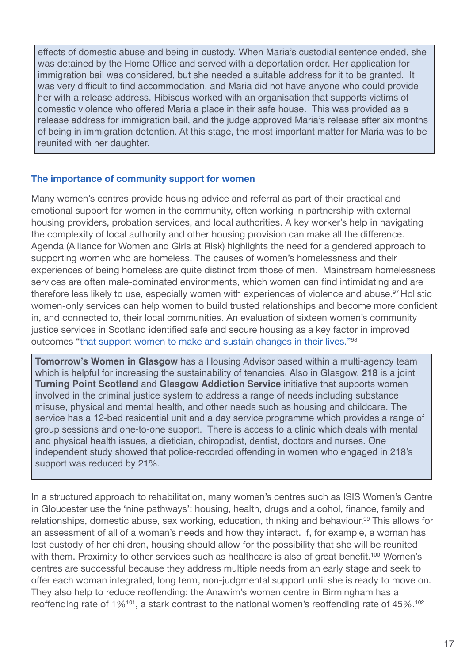effects of domestic abuse and being in custody. When Maria's custodial sentence ended, she was detained by the Home Office and served with a deportation order. Her application for immigration bail was considered, but she needed a suitable address for it to be granted. It was very difficult to find accommodation, and Maria did not have anyone who could provide her with a release address. Hibiscus worked with an organisation that supports victims of domestic violence who offered Maria a place in their safe house. This was provided as a release address for immigration bail, and the judge approved Maria's release after six months of being in immigration detention. At this stage, the most important matter for Maria was to be reunited with her daughter.

#### **The importance of community support for women**

Many women's centres provide housing advice and referral as part of their practical and emotional support for women in the community, often working in partnership with external housing providers, probation services, and local authorities. A key worker's help in navigating the complexity of local authority and other housing provision can make all the difference. Agenda (Alliance for Women and Girls at Risk) highlights the need for a gendered approach to supporting women who are homeless. The causes of women's homelessness and their experiences of being homeless are quite distinct from those of men. Mainstream homelessness services are often male-dominated environments, which women can find intimidating and are therefore less likely to use, especially women with experiences of violence and abuse.<sup>97</sup> Holistic women-only services can help women to build trusted relationships and become more confident in, and connected to, their local communities. An evaluation of sixteen women's community justice services in Scotland identified safe and secure housing as a key factor in improved outcomes "that support women to make and sustain changes in their lives."98

**Tomorrow's Women in Glasgow** has a Housing Advisor based within a multi-agency team which is helpful for increasing the sustainability of tenancies. Also in Glasgow, **218** is a joint **Turning Point Scotland** and **Glasgow Addiction Service** initiative that supports women involved in the criminal justice system to address a range of needs including substance misuse, physical and mental health, and other needs such as housing and childcare. The service has a 12-bed residential unit and a day service programme which provides a range of group sessions and one-to-one support. There is access to a clinic which deals with mental and physical health issues, a dietician, chiropodist, dentist, doctors and nurses. One independent study showed that police-recorded offending in women who engaged in 218's support was reduced by 21%.

In a structured approach to rehabilitation, many women's centres such as ISIS Women's Centre in Gloucester use the 'nine pathways': housing, health, drugs and alcohol, finance, family and relationships, domestic abuse, sex working, education, thinking and behaviour.<sup>99</sup> This allows for an assessment of all of a woman's needs and how they interact. If, for example, a woman has lost custody of her children, housing should allow for the possibility that she will be reunited with them. Proximity to other services such as healthcare is also of great benefit.<sup>100</sup> Women's centres are successful because they address multiple needs from an early stage and seek to offer each woman integrated, long term, non-judgmental support until she is ready to move on. They also help to reduce reoffending: the Anawim's women centre in Birmingham has a reoffending rate of  $1\%^{101}$ , a stark contrast to the national women's reoffending rate of 45%.<sup>102</sup>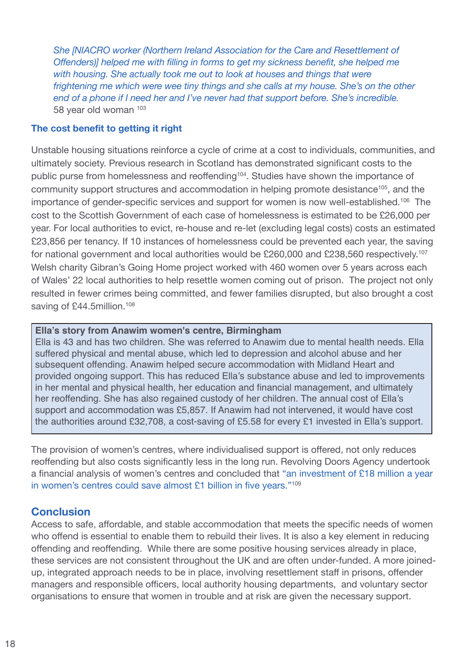*She [NIACRO worker (Northern Ireland Association for the Care and Resettlement of Offenders)] helped me with filling in forms to get my sickness benefit, she helped me with housing. She actually took me out to look at houses and things that were frightening me which were wee tiny things and she calls at my house. She's on the other end of a phone if I need her and I've never had that support before. She's incredible.* 58 year old woman 103

#### **The cost benefit to getting it right**

Unstable housing situations reinforce a cycle of crime at a cost to individuals, communities, and ultimately society. Previous research in Scotland has demonstrated significant costs to the public purse from homelessness and reoffending<sup>104</sup>. Studies have shown the importance of community support structures and accommodation in helping promote desistance<sup>105</sup>, and the importance of gender-specific services and support for women is now well-established.<sup>106</sup> The cost to the Scottish Government of each case of homelessness is estimated to be £26,000 per year. For local authorities to evict, re-house and re-let (excluding legal costs) costs an estimated £23,856 per tenancy. If 10 instances of homelessness could be prevented each year, the saving for national government and local authorities would be £260,000 and £238,560 respectively.<sup>107</sup> Welsh charity Gibran's Going Home project worked with 460 women over 5 years across each of Wales' 22 local authorities to help resettle women coming out of prison. The project not only resulted in fewer crimes being committed, and fewer families disrupted, but also brought a cost saving of £44.5million.<sup>108</sup>

### **Ella's story from Anawim women's centre, Birmingham**

Ella is 43 and has two children. She was referred to Anawim due to mental health needs. Ella suffered physical and mental abuse, which led to depression and alcohol abuse and her subsequent offending. Anawim helped secure accommodation with Midland Heart and provided ongoing support. This has reduced Ella's substance abuse and led to improvements in her mental and physical health, her education and financial management, and ultimately her reoffending. She has also regained custody of her children. The annual cost of Ella's support and accommodation was £5,857. If Anawim had not intervened, it would have cost the authorities around £32,708, a cost-saving of £5.58 for every £1 invested in Ella's support.

The provision of women's centres, where individualised support is offered, not only reduces reoffending but also costs significantly less in the long run. Revolving Doors Agency undertook a financial analysis of women's centres and concluded that "an investment of £18 million a year in women's centres could save almost £1 billion in five years."<sup>109</sup>

## **Conclusion**

Access to safe, affordable, and stable accommodation that meets the specific needs of women who offend is essential to enable them to rebuild their lives. It is also a key element in reducing offending and reoffending. While there are some positive housing services already in place, these services are not consistent throughout the UK and are often under-funded. A more joinedup, integrated approach needs to be in place, involving resettlement staff in prisons, offender managers and responsible officers, local authority housing departments, and voluntary sector organisations to ensure that women in trouble and at risk are given the necessary support.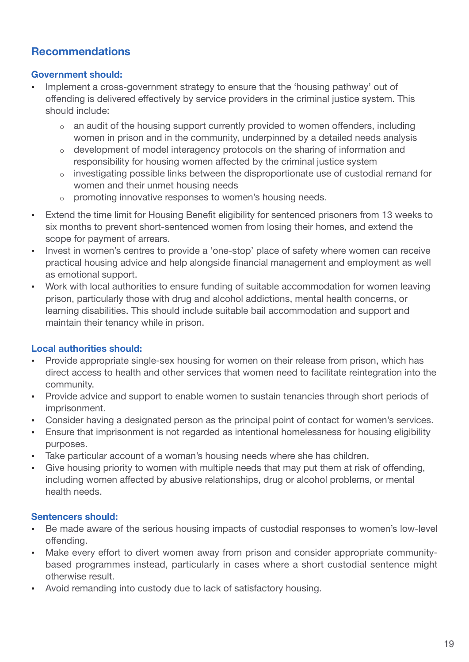## **Recommendations**

## **Government should:**

- Implement a cross-government strategy to ensure that the 'housing pathway' out of offending is delivered effectively by service providers in the criminal justice system. This should include:
	- o an audit of the housing support currently provided to women offenders, including women in prison and in the community, underpinned by a detailed needs analysis
	- o development of model interagency protocols on the sharing of information and responsibility for housing women affected by the criminal justice system
	- o investigating possible links between the disproportionate use of custodial remand for women and their unmet housing needs
	- o promoting innovative responses to women's housing needs.
- Extend the time limit for Housing Benefit eligibility for sentenced prisoners from 13 weeks to six months to prevent short-sentenced women from losing their homes, and extend the scope for payment of arrears.
- Invest in women's centres to provide a 'one-stop' place of safety where women can receive practical housing advice and help alongside financial management and employment as well as emotional support.
- Work with local authorities to ensure funding of suitable accommodation for women leaving prison, particularly those with drug and alcohol addictions, mental health concerns, or learning disabilities. This should include suitable bail accommodation and support and maintain their tenancy while in prison.

## **Local authorities should:**

- Provide appropriate single-sex housing for women on their release from prison, which has direct access to health and other services that women need to facilitate reintegration into the community.
- Provide advice and support to enable women to sustain tenancies through short periods of imprisonment.
- Consider having a designated person as the principal point of contact for women's services.
- Ensure that imprisonment is not regarded as intentional homelessness for housing eligibility purposes.
- Take particular account of a woman's housing needs where she has children.
- Give housing priority to women with multiple needs that may put them at risk of offending, including women affected by abusive relationships, drug or alcohol problems, or mental health needs.

## **Sentencers should:**

- Be made aware of the serious housing impacts of custodial responses to women's low-level offending.
- Make every effort to divert women away from prison and consider appropriate communitybased programmes instead, particularly in cases where a short custodial sentence might otherwise result.
- Avoid remanding into custody due to lack of satisfactory housing.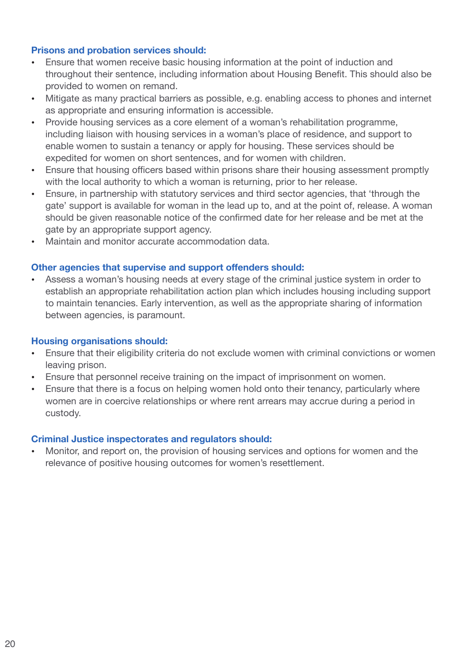### **Prisons and probation services should:**

- Ensure that women receive basic housing information at the point of induction and throughout their sentence, including information about Housing Benefit. This should also be provided to women on remand.
- Mitigate as many practical barriers as possible, e.g. enabling access to phones and internet as appropriate and ensuring information is accessible.
- Provide housing services as a core element of a woman's rehabilitation programme, including liaison with housing services in a woman's place of residence, and support to enable women to sustain a tenancy or apply for housing. These services should be expedited for women on short sentences, and for women with children.
- Ensure that housing officers based within prisons share their housing assessment promptly with the local authority to which a woman is returning, prior to her release.
- Ensure, in partnership with statutory services and third sector agencies, that 'through the gate' support is available for woman in the lead up to, and at the point of, release. A woman should be given reasonable notice of the confirmed date for her release and be met at the gate by an appropriate support agency.
- Maintain and monitor accurate accommodation data.

#### **Other agencies that supervise and support offenders should:**

• Assess a woman's housing needs at every stage of the criminal justice system in order to establish an appropriate rehabilitation action plan which includes housing including support to maintain tenancies. Early intervention, as well as the appropriate sharing of information between agencies, is paramount.

#### **Housing organisations should:**

- Ensure that their eligibility criteria do not exclude women with criminal convictions or women leaving prison.
- Ensure that personnel receive training on the impact of imprisonment on women.
- Ensure that there is a focus on helping women hold onto their tenancy, particularly where women are in coercive relationships or where rent arrears may accrue during a period in custody.

#### **Criminal Justice inspectorates and regulators should:**

• Monitor, and report on, the provision of housing services and options for women and the relevance of positive housing outcomes for women's resettlement.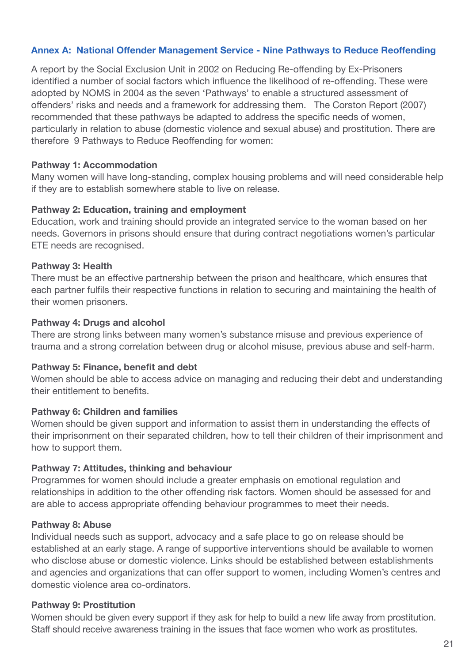## **Annex A: National Offender Management Service - Nine Pathways to Reduce Reoffending**

A report by the Social Exclusion Unit in 2002 on Reducing Re-offending by Ex-Prisoners identified a number of social factors which influence the likelihood of re-offending. These were adopted by NOMS in 2004 as the seven 'Pathways' to enable a structured assessment of offenders' risks and needs and a framework for addressing them. The Corston Report (2007) recommended that these pathways be adapted to address the specific needs of women, particularly in relation to abuse (domestic violence and sexual abuse) and prostitution. There are therefore 9 Pathways to Reduce Reoffending for women:

#### **Pathway 1: Accommodation**

Many women will have long-standing, complex housing problems and will need considerable help if they are to establish somewhere stable to live on release.

#### **Pathway 2: Education, training and employment**

Education, work and training should provide an integrated service to the woman based on her needs. Governors in prisons should ensure that during contract negotiations women's particular ETE needs are recognised.

#### **Pathway 3: Health**

There must be an effective partnership between the prison and healthcare, which ensures that each partner fulfils their respective functions in relation to securing and maintaining the health of their women prisoners.

#### **Pathway 4: Drugs and alcohol**

There are strong links between many women's substance misuse and previous experience of trauma and a strong correlation between drug or alcohol misuse, previous abuse and self-harm.

## **Pathway 5: Finance, benefit and debt**

Women should be able to access advice on managing and reducing their debt and understanding their entitlement to benefits.

## **Pathway 6: Children and families**

Women should be given support and information to assist them in understanding the effects of their imprisonment on their separated children, how to tell their children of their imprisonment and how to support them.

## **Pathway 7: Attitudes, thinking and behaviour**

Programmes for women should include a greater emphasis on emotional regulation and relationships in addition to the other offending risk factors. Women should be assessed for and are able to access appropriate offending behaviour programmes to meet their needs.

#### **Pathway 8: Abuse**

Individual needs such as support, advocacy and a safe place to go on release should be established at an early stage. A range of supportive interventions should be available to women who disclose abuse or domestic violence. Links should be established between establishments and agencies and organizations that can offer support to women, including Women's centres and domestic violence area co-ordinators.

#### **Pathway 9: Prostitution**

Women should be given every support if they ask for help to build a new life away from prostitution. Staff should receive awareness training in the issues that face women who work as prostitutes.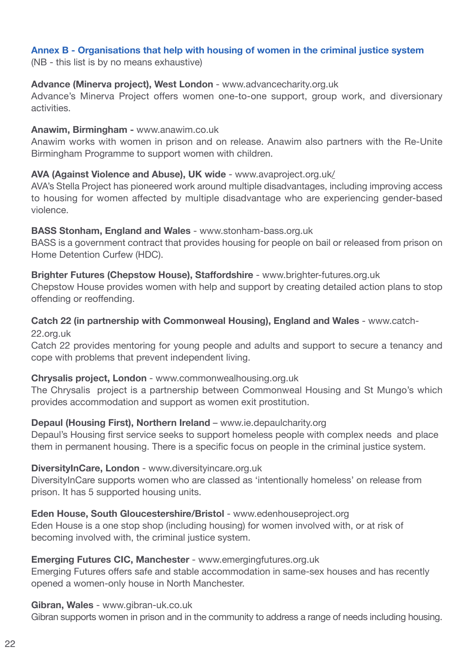## **Annex B - Organisations that help with housing of women in the criminal justice system**

(NB - this list is by no means exhaustive)

#### **Advance (Minerva project), West London** - [www.advancecharity.org.uk](http://www.advancecharity.org.uk)

Advance's Minerva Project offers women one-to-one support, group work, and diversionary activities.

#### **Anawim, Birmingham -** [www.anawim.co.uk](http://www.anawim.co.uk)

Anawim works with women in prison and on release. Anawim also partners with the Re-Unite Birmingham Programme to support women with children.

## **AVA (Against Violence and Abuse), UK wide** - www.avaproject.org.uk/

AVA's Stella Project has pioneered work around multiple disadvantages, including improving access to housing for women affected by multiple disadvantage who are experiencing gender-based violence.

#### **BASS Stonham, England and Wales** - [www.stonham-bass.org.uk](http://www.stonham-bass.org.uk)

BASS is a government contract that provides housing for people on bail or released from prison on Home Detention Curfew (HDC).

## **Brighter Futures (Chepstow House), Staffordshire** - [www.brighter-futures.org.uk](file:///C:/Users/zoey/AppData/Local/Microsoft/Windows/jennyearle/AppData/Local/Microsoft/Windows/Temporary%20Internet%20Files/Content.Outlook/F69NGL7G/www.brighter-futures.org.uk)

Chepstow House provides women with help and support by creating detailed action plans to stop offending or reoffending.

# **Catch 22 (in partnership with Commonweal Housing), England and Wales** - [www.catch-](http://www.catch-22.org.uk)

[22.org.uk](http://www.catch-22.org.uk)

Catch 22 provides mentoring for young people and adults and support to secure a tenancy and cope with problems that prevent independent living.

## **Chrysalis project, London** - [www.commonwealhousing.org.uk](file:///C:/Users/zoey/AppData/Local/Microsoft/Windows/zoey/AppData/Local/Microsoft/Windows/Temporary%20Internet%20Files/Content.Outlook/B2DRAUTF/www.commonwealhousing.org.uk)

The Chrysalis project is a partnership between Commonweal Housing and St Mungo's which provides accommodation and support as women exit prostitution.

## **Depaul (Housing First), Northern Ireland** – www.ie.depaulcharity.org

Depaul's Housing first service seeks to support homeless people with complex needs and place them in permanent housing. There is a specific focus on people in the criminal justice system.

## **DiversityInCare, London** - [www.diversityincare.org.uk](http://www.diversityincare.org.uk)

DiversityInCare supports women who are classed as 'intentionally homeless' on release from prison. It has 5 supported housing units.

## **Eden House, South Gloucestershire/Bristol** - [www.edenhouseproject.org](file:///C:/Users/zoey/AppData/Local/Microsoft/Windows/jennyearle/AppData/Local/Microsoft/Windows/Temporary%20Internet%20Files/Content.Outlook/F69NGL7G/Annex%20A.doc)

Eden House is a one stop shop (including housing) for women involved with, or at risk of becoming involved with, the criminal justice system.

## **Emerging Futures CIC, Manchester** - [www.emergingfutures.org.uk](http://www.emergingfutures.org.uk)

Emerging Futures offers safe and stable accommodation in same-sex houses and has recently opened a women-only house in North Manchester.

#### **Gibran, Wales** - [www.gibran-uk.co.uk](http://www.gibran-uk.co.uk)

Gibran supports women in prison and in the community to address a range of needs including housing.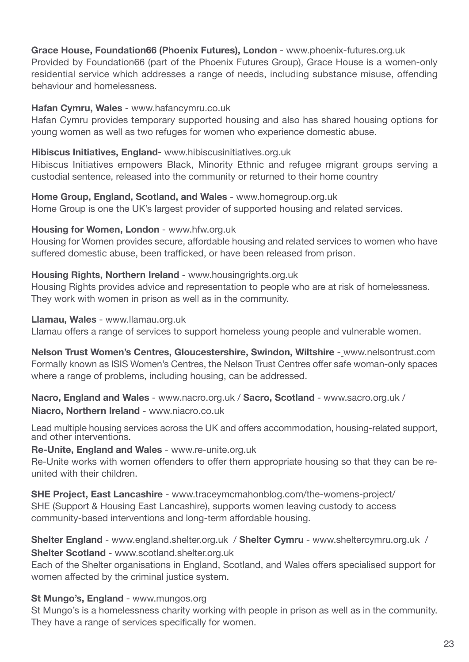## **Grace House, Foundation66 (Phoenix Futures), London** - www.phoenix-futures.org.uk

Provided by Foundation66 (part of the Phoenix Futures Group), Grace House is a women-only residential service which addresses a range of needs, including substance misuse, offending behaviour and homelessness.

### **Hafan Cymru, Wales** - [www.hafancymru.co.uk](http://www.hafancymru.co.uk)

Hafan Cymru provides temporary supported housing and also has shared housing options for young women as well as two refuges for women who experience domestic abuse.

### **Hibiscus Initiatives, England**- www.hibiscusinitiatives.org.uk

Hibiscus Initiatives empowers Black, Minority Ethnic and refugee migrant groups serving a custodial sentence, released into the community or returned to their home country

**Home Group, England, Scotland, and Wales** - [www.homegroup.org.uk](http://www.homegroup.org.uk) Home Group is one the UK's largest provider of supported housing and related services.

#### **Housing for Women, London** - [www.hfw.org.uk](http://www.hfw.org.uk)

Housing for Women provides secure, affordable housing and related services to women who have suffered domestic abuse, been trafficked, or have been released from prison.

#### **Housing Rights, Northern Ireland** - [www.housingrights.org.uk](http://www.housingrights.org.uk)

Housing Rights provides advice and representation to people who are at risk of homelessness. They work with women in prison as well as in the community.

**Llamau, Wales** - [www.llamau.org.uk](http://www.llamau.org.uk)

Llamau offers a range of services to support homeless young people and vulnerable women.

**Nelson Trust Women's Centres, Gloucestershire, Swindon, Wiltshire** - [www.nelsontrust.com](file:///C:/Users/zoey/AppData/Local/Microsoft/Windows/zoey/AppData/Local/Microsoft/Windows/Temporary%20Internet%20Files/Content.Outlook/B2DRAUTF/www.nelsontrust.com) Formally known as ISIS Women's Centres, the Nelson Trust Centres offer safe woman-only spaces where a range of problems, including housing, can be addressed.

**Nacro, England and Wales** - [www.nacro.org.uk](http://www.nacro.org.uk) / **Sacro, Scotland** - <www.sacro.org.uk> / **Niacro, Northern Ireland** - <www.niacro.co.uk>

Lead multiple housing services across the UK and offers accommodation, housing-related support, and other interventions.

#### **Re-Unite, England and Wales** - [www.re-unite.org.uk](http://www.re-unite.org.uk)

Re-Unite works with women offenders to offer them appropriate housing so that they can be reunited with their children.

**SHE Project, East Lancashire** - [www.traceymcmahonblog.com/the-womens-project/](http://www.traceymcmahonblog.com/the-womens-project/" /t "_blank) SHE (Support & Housing East Lancashire), supports women leaving custody to access community-based interventions and long-term affordable housing.

**Shelter England** - [www.england.shelter.org.uk](http://www.england.shelter.org.uk) / **Shelter Cymru** - [www.sheltercymru.org.uk](http://www.sheltercymru.org.uk) / **Shelter Scotland** - [www.scotland.shelter.org.uk](http://www.scotland.shelter.org.uk)

Each of the Shelter organisations in England, Scotland, and Wales offers specialised support for women affected by the criminal justice system.

## **St Mungo's, England** - [www.mungos.org](http://www.mungos.org)

St Mungo's is a homelessness charity working with people in prison as well as in the community. They have a range of services specifically for women.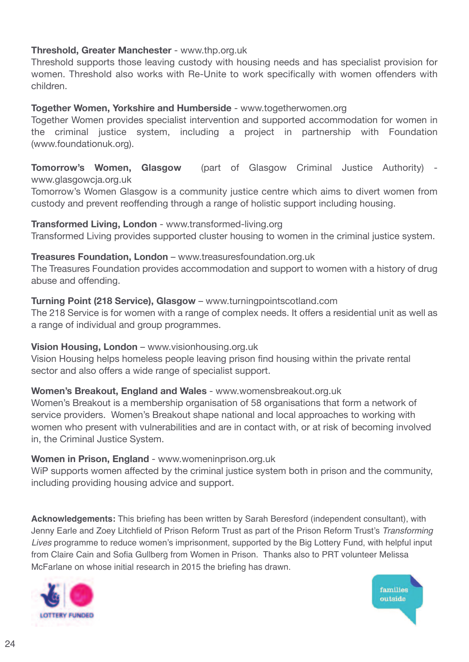## **Threshold, Greater Manchester** - [www.thp.org.uk](http://www.thp.org.uk)

Threshold supports those leaving custody with housing needs and has specialist provision for women. Threshold also works with Re-Unite to work specifically with women offenders with children.

### **Together Women, Yorkshire and Humberside** - [www.togetherwomen.org](http://www.togetherwomen.org)

Together Women provides specialist intervention and supported accommodation for women in the criminal justice system, including a project in partnership with Foundation [\(www.foundationuk.org\)](http://www.foundationuk.org).

## **Tomorrow's Women, Glasgow** (part of Glasgow Criminal Justice Authority) [www.glasgowcja.org.uk](file:///C:/Users/zoey/AppData/Local/Microsoft/Windows/jennyearle/AppData/Local/Microsoft/Windows/Temporary%20Internet%20Files/Content.Outlook/F69NGL7G/www.glasgowcja.org.uk)

Tomorrow's Women Glasgow is a community justice centre which aims to divert women from custody and prevent reoffending through a range of holistic support including housing.

#### **Transformed Living, London** - [www.transformed-living.org](http://www.transformed-living.org)

Transformed Living provides supported cluster housing to women in the criminal justice system.

#### **Treasures Foundation, London** – [www.treasuresfoundation.org.uk](http://www.treasuresfoundation.org.uk)

The Treasures Foundation provides accommodation and support to women with a history of drug abuse and offending.

#### **Turning Point (218 Service), Glasgow** – [www.turningpointscotland.com](http://www.turningpointscotland.com)

The 218 Service is for women with a range of complex needs. It offers a residential unit as well as a range of individual and group programmes.

#### **Vision Housing, London** – [www.visionhousing.org.uk](http://www.visionhousing.org.uk)

Vision Housing helps homeless people leaving prison find housing within the private rental sector and also offers a wide range of specialist support.

## **Women's Breakout, England and Wales** - www.womensbreakout.org.uk

Women's Breakout is a membership organisation of 58 organisations that form a network of service providers. Women's Breakout shape national and local approaches to working with women who present with vulnerabilities and are in contact with, or at risk of becoming involved in, the Criminal Justice System.

#### **Women in Prison, England** - [www.womeninprison.org.uk](file:///C:/Users/zoey/AppData/Local/Microsoft/Windows/jennyearle/AppData/Local/Microsoft/Windows/Temporary%20Internet%20Files/Content.Outlook/F69NGL7G/www.womeninprison.org.uk)

WiP supports women affected by the criminal justice system both in prison and the community, including providing housing advice and support.

**Acknowledgements:** This briefing has been written by Sarah Beresford (independent consultant), with Jenny Earle and Zoey Litchfield of Prison Reform Trust as part of the Prison Reform Trust's *Transforming Lives* programme to reduce women's imprisonment, supported by the Big Lottery Fund, with helpful input from Claire Cain and Sofia Gullberg from Women in Prison. Thanks also to PRT volunteer Melissa McFarlane on whose initial research in 2015 the briefing has drawn.



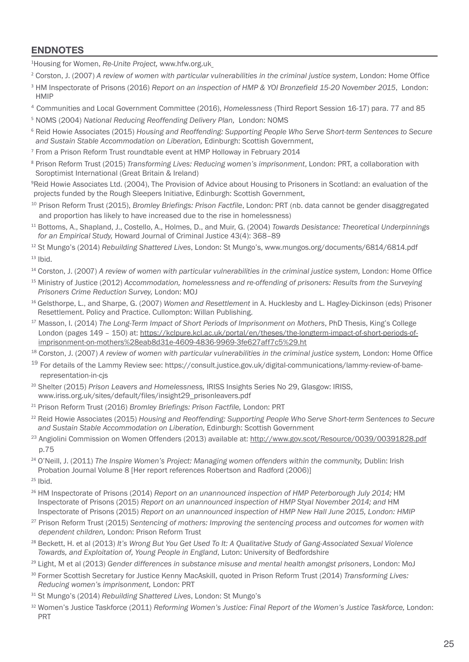## **ENDNOTES**

1 Housing for Women, *Re-Unite Project,* [www.hfw.org.uk](http://www.hfw.org.uk)

<sup>2</sup> Corston, J. (2007) *A review of women with particular vulnerabilities in the criminal justice system*, London: Home Office

- <sup>3</sup> HM Inspectorate of Prisons (2016) *Report on an inspection of HMP & YOI Bronzefield 15-20 November 2015*, London: HMIP
- <sup>4</sup> Communities and Local Government Committee (2016), *Homelessness* (Third Report Session 16-17) para. 77 and 85
- <sup>5</sup> NOMS (2004) *National Reducing Reoffending Delivery Plan,* London: NOMS
- <sup>6</sup> Reid Howie Associates (2015) *Housing and Reoffending: Supporting People Who Serve Short-term Sentences to Secure and Sustain Stable Accommodation on Liberation,* Edinburgh: Scottish Government,
- <sup>7</sup> From a Prison Reform Trust roundtable event at HMP Holloway in February 2014
- <sup>8</sup> Prison Reform Trust (2015) *Transforming Lives: Reducing women's imprisonment*, London: PRT, a collaboration with Soroptimist International (Great Britain & Ireland)

<sup>9</sup>Reid Howie Associates Ltd. (2004), The Provision of Advice about Housing to Prisoners in Scotland: an evaluation of the projects funded by the Rough Sleepers Initiative, Edinburgh: Scottish Government,

- <sup>10</sup> Prison Reform Trust (2015), *Bromley Briefings: Prison Factfile*, London: PRT (nb. data cannot be gender disaggregated and proportion has likely to have increased due to the rise in homelessness)
- <sup>11</sup> Bottoms, A., Shapland, J., Costello, A., Holmes, D., and Muir, G. (2004) *Towards Desistance: Theoretical Underpinnings for an Empirical Study,* Howard Journal of Criminal Justice 43(4): 368–89
- <sup>12</sup> St Mungo's (2014) *Rebuilding Shattered Lives*, London: St Mungo's, [www.mungos.org/documents/6814/6814.pdf](file:///C:/Users/zoey/AppData/Local/Microsoft/Windows/jennyearle/AppData/Local/Microsoft/Windows/Temporary%20Internet%20Files/Content.Outlook/F69NGL7G/www.mungos.org/documents/6814/6814.pdf)  $13$  Ibid.
- <sup>14</sup> Corston, J. (2007) *A review of women with particular vulnerabilities in the criminal justice system,* London: Home Office
- <sup>15</sup> Ministry of Justice (2012) *Accommodation, homelessness and re-offending of prisoners: Results from the Surveying Prisoners Crime Reduction Survey,* London: MOJ
- <sup>16</sup> Gelsthorpe, L., and Sharpe, G. (2007) *Women and Resettlement* in A. Hucklesby and L. Hagley-Dickinson (eds) Prisoner Resettlement. Policy and Practice. Cullompton: Willan Publishing.
- <sup>17</sup> Masson, I. (2014) *The Long-Term Impact of Short Periods of Imprisonment on Mothers*, PhD Thesis, King's College London (pages 149 – 150) at: https://kclpure.kcl.ac.uk/portal/en/theses/the-longterm-impact-of-short-periods-ofimprisonment-on-mothers%28eab8d31e-4609-4836-9969-3fe627aff7c5%29.ht
- <sup>18</sup> Corston, J. (2007) *A review of women with particular vulnerabilities in the criminal justice system,* London: Home Office
- <sup>19</sup> For details of the Lammy Review see: https://consult.justice.gov.uk/digital-communications/lammy-review-of-bamerepresentation-in-cjs
- <sup>20</sup> Shelter (2015) *Prison Leavers and Homelessness,* IRISS Insights Series No 29, Glasgow: IRISS, [www.iriss.org.uk/sites/default/files/insight29\\_prisonleavers.pdf](file:///C:/Users/zoey/AppData/Local/Microsoft/Windows/jennyearle/AppData/Local/Microsoft/Windows/Temporary%20Internet%20Files/Content.Outlook/F69NGL7G/www.iriss.org.uk/sites/default/files/insight29_prisonleavers.pdf)
- <sup>21</sup> Prison Reform Trust (2016) *Bromley Briefings: Prison Factfile,* London: PRT
- <sup>22</sup> Reid Howie Associates (2015) *Housing and Reoffending: Supporting People Who Serve Short-term Sentences to Secure and Sustain Stable Accommodation on Liberation,* Edinburgh: Scottish Government
- <sup>23</sup> Angiolini Commission on Women Offenders (2013) available at: http://www.gov.scot/Resource/0039/00391828.pdf p.75
- <sup>24</sup> O'Neill, J. (2011) *The Inspire Women's Project: Managing women offenders within the community,* Dublin: Irish Probation Journal Volume 8 [Her report references Robertson and Radford (2006)]
- $25$  Ibid.
- <sup>26</sup> HM Inspectorate of Prisons (2014) *Report on an unannounced inspection of HMP Peterborough July 2014;* HM Inspectorate of Prisons (2015) *Report on an unannounced inspection of HMP Styal November 2014; and* HM Inspectorate of Prisons (2015) *Report on an unannounced inspection of HMP New Hall June 2015, London: HMIP*
- <sup>27</sup> Prison Reform Trust (2015) *Sentencing of mothers: Improving the sentencing process and outcomes for women with dependent children,* London: Prison Reform Trust
- <sup>28</sup> Beckett, H. et al (2013) *It's Wrong But You Get Used To It: A Qualitative Study of Gang-Associated Sexual Violence Towards, and Exploitation of, Young People in England*, Luton: University of Bedfordshire
- <sup>29</sup> Light, M et al (2013) *Gender differences in substance misuse and mental health amongst prisoners*, London: MoJ
- <sup>30</sup> Former Scottish Secretary for Justice Kenny MacAskill, quoted in Prison Reform Trust (2014) *Transforming Lives: Reducing women's imprisonment,* London: PRT
- <sup>31</sup> St Mungo's (2014) *Rebuilding Shattered Lives*, London: St Mungo's
- <sup>32</sup> Women's Justice Taskforce (2011) *Reforming Women's Justice: Final Report of the Women's Justice Taskforce,* London: PRT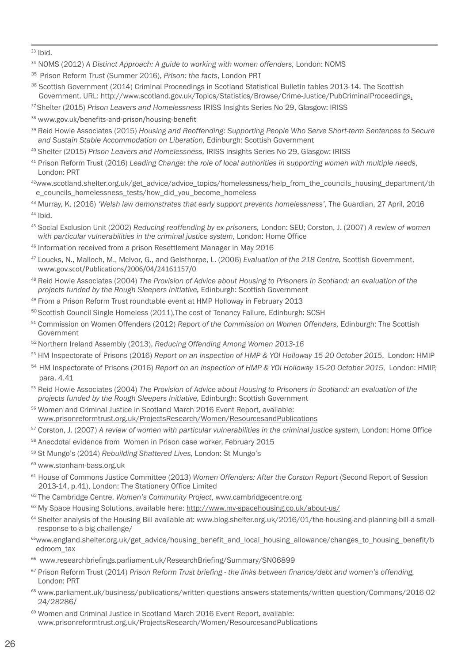$33$  Ibid.

- <sup>34</sup> NOMS (2012) *A Distinct Approach: A guide to working with women offenders,* London: NOMS
- <sup>35</sup> Prison Reform Trust (Summer 2016), *Prison: the facts*, London PRT
- 36 Scottish Government (2014) Criminal Proceedings in Scotland Statistical Bulletin tables 2013-14. The Scottish Government. URL: [http://www.scotland.gov.uk/Topics/Statistics/Browse/Crime-Justice/PubCriminalProceedings.](http://www.gov.scot/Topics/Statistics/Browse/Crime-Justice/PubCriminalProceedings)
- <sup>37</sup>Shelter (2015) *Prison Leavers and Homelessness* IRISS Insights Series No 29, Glasgow: IRISS
- <sup>38</sup> [www.gov.uk/benefits-and-prison/housing-benefit](http://www.gov.uk/benefits-and-prison/housing-benefit)
- <sup>39</sup> Reid Howie Associates (2015) *Housing and Reoffending: Supporting People Who Serve Short-term Sentences to Secure and Sustain Stable Accommodation on Liberation,* Edinburgh: Scottish Government
- <sup>40</sup> Shelter (2015) *Prison Leavers and Homelessness,* IRISS Insights Series No 29, Glasgow: IRISS
- <sup>41</sup> Prison Reform Trust (2016) *Leading Change: the role of local authorities in supporting women with multiple needs*, London: PRT
- 42 [www.scotland.shelter.org.uk/get\\_advice/advice\\_topics/homelessness/help\\_from\\_the\\_councils\\_housing\\_department/th](file://C:/Users/zoey/AppData/Local/Microsoft/Windows/zo) [e\\_councils\\_homelessness\\_tests/how\\_did\\_you\\_become\\_homeless](file://C:/Users/zoey/AppData/Local/Microsoft/Windows/zo)
- <sup>43</sup> Murray, K. (2016) *'Welsh law demonstrates that early support prevents homelessness'*, The Guardian, 27 April, 2016 <sup>44</sup> Ibid.
- <sup>45</sup> Social Exclusion Unit (2002) *Reducing reoffending by ex-prisoners,* London: SEU; Corston, J. (2007) *A review of women with particular vulnerabilities in the criminal justice system*, London: Home Office
- <sup>46</sup> Information received from a prison Resettlement Manager in May 2016
- <sup>47</sup> Loucks, N., Malloch, M., McIvor, G., and Gelsthorpe, L. (2006) *Evaluation of the 218 Centre,* Scottish Government, [www.gov.scot/Publications/2006/04/24161157/0](file:///C:/Users/zoey/AppData/Local/Microsoft/Windows/jennyearle/AppData/Local/Microsoft/Windows/Temporary%20Internet%20Files/Content.Outlook/F69NGL7G/www.gov.scot/Publications/2006/04/24161157/0)
- <sup>48</sup> Reid Howie Associates (2004) *The Provision of Advice about Housing to Prisoners in Scotland: an evaluation of the projects funded by the Rough Sleepers Initiative,* Edinburgh: Scottish Government
- 49 From a Prison Reform Trust roundtable event at HMP Holloway in February 2013
- 50 Scottish Council Single Homeless (2011), The cost of Tenancy Failure, Edinburgh: SCSH
- <sup>51</sup> Commission on Women Offenders (2012) *Report of the Commission on Women Offenders,* Edinburgh: The Scottish Government
- 52Northern Ireland Assembly (2013), *Reducing Offending Among Women 2013-16*
- <sup>53</sup> HM Inspectorate of Prisons (2016) *Report on an inspection of HMP & YOI Holloway 15-20 October 2015*, London: HMIP
- <sup>54</sup> HM Inspectorate of Prisons (2016) *Report on an inspection of HMP & YOI Holloway 15-20 October 2015*, London: HMIP, para. 4.41
- <sup>55</sup> Reid Howie Associates (2004) *The Provision of Advice about Housing to Prisoners in Scotland: an evaluation of the projects funded by the Rough Sleepers Initiative,* Edinburgh: Scottish Government
- <sup>56</sup> Women and Criminal Justice in Scotland March 2016 Event Report, available: www.prisonreformtrust.org.uk/ProjectsResearch/Women/ResourcesandPublications
- <sup>57</sup> Corston, J. (2007) *A review of women with particular vulnerabilities in the criminal justice system,* London: Home Office
- <sup>58</sup> Anecdotal evidence from Women in Prison case worker, February 2015
- <sup>59</sup> St Mungo's (2014) *Rebuilding Shattered Lives,* London: St Mungo's
- <sup>60</sup> [www.stonham-bass.org.uk](file:///C:/Users/zoey/AppData/Local/Microsoft/Windows/jennyearle/AppData/Local/Microsoft/Windows/Temporary%20Internet%20Files/Content.Outlook/F69NGL7G/www.stonham-bass.org.uk)
- <sup>61</sup> House of Commons Justice Committee (2013) *Women Offenders: After the Corston Report* (Second Report of Session 2013-14, p.41), London: The Stationery Office Limited
- <sup>62</sup> The Cambridge Centre, *Women's Community Project*, [www.cambridgecentre.org](file:///C:/Users/zoey/AppData/Local/Microsoft/Windows/jennyearle/AppData/Local/Microsoft/Windows/Temporary%20Internet%20Files/Content.Outlook/F69NGL7G/www.cambridgecentre.org)
- <sup>63</sup> My Space Housing Solutions, available here: http://www.my-spacehousing.co.uk/about-us/
- <sup>64</sup> Shelter analysis of the Housing Bill available at: [www.blog.shelter.org.uk/2016/01/the-housing-and-planning-bill-a-small](file:///C:/Users/zoey/AppData/Local/Microsoft/Windows/jennyearle/AppData/Local/Microsoft/Windows/Temporary%20Internet%20Files/Content.Outlook/F69NGL7G/www.blog.shelter.org.uk/2016/01/the-housing-and-planning-bill-a-small-response-to-a-big-challenge/)[response-to-a-big-challenge/](file:///C:/Users/zoey/AppData/Local/Microsoft/Windows/jennyearle/AppData/Local/Microsoft/Windows/Temporary%20Internet%20Files/Content.Outlook/F69NGL7G/www.blog.shelter.org.uk/2016/01/the-housing-and-planning-bill-a-small-response-to-a-big-challenge/)
- 65 [www.england.shelter.org.uk/get\\_advice/housing\\_benefit\\_and\\_local\\_housing\\_allowance/changes\\_to\\_housing\\_benefit/b](http://www.prisonreformtrust.org.uk/women) [edroom\\_tax](http://www.prisonreformtrust.org.uk/women)
- <sup>66</sup> www.researchbriefings.parliament.uk/ResearchBriefing/Summary/SN06899
- <sup>67</sup> Prison Reform Trust (2014) *Prison Reform Trust briefing - the links between finance/debt and women's offending,* London: PRT
- <sup>68</sup> [www.parliament.uk/business/publications/written-questions-answers-statements/written-question/Commons/2016-02-](http://www.prisonreformtrust.org.uk/women) [24/28286](http://www.prisonreformtrust.org.uk/women)/
- <sup>69</sup> Women and Criminal Justice in Scotland March 2016 Event Report, available: www.prisonreformtrust.org.uk/ProjectsResearch/Women/ResourcesandPublications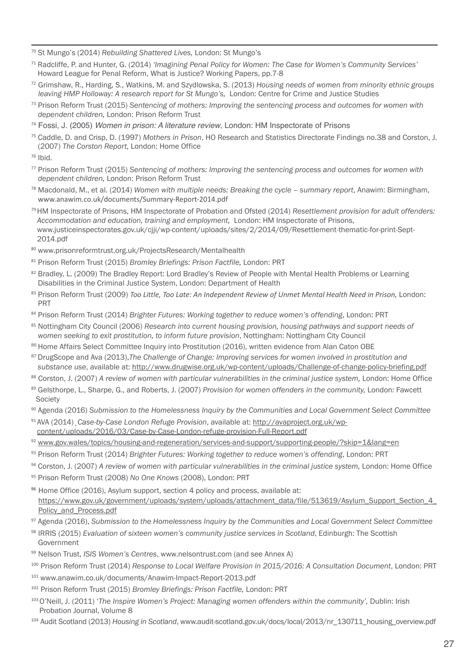<sup>70</sup> St Mungo's (2014) *Rebuilding Shattered Lives,* London: St Mungo's

- <sup>71</sup> Radcliffe, P. and Hunter, G. (2014) *'Imagining Penal Policy for Women: The Case for Women's Community Services'* Howard League for Penal Reform, What is Justice? Working Papers, pp.7-8
- <sup>72</sup> Grimshaw, R., Harding, S., Watkins, M. and Szydlowska, S. (2013) *Housing needs of women from minority ethnic groups leaving HMP Holloway: A research report for St Mungo's,* London: Centre for Crime and Justice Studies
- <sup>73</sup> Prison Reform Trust (2015) *Sentencing of mothers: Improving the sentencing process and outcomes for women with dependent children,* London: Prison Reform Trust
- <sup>74</sup> Fossi, J. (2005) *Women in prison: A literature review*, London: HM Inspectorate of Prisons
- <sup>75</sup> Caddle, D. and Crisp, D. (1997) *Mothers in Prison*, HO Research and Statistics Directorate Findings no.38 and Corston, J. (2007) *The Corston Report,* London: Home Office

- <sup>77</sup> Prison Reform Trust (2015) *Sentencing of mothers: Improving the sentencing process and outcomes for women with dependent children,* London: Prison Reform Trust
- <sup>78</sup> Macdonald, M., et al. (2014) *Women with multiple needs: Breaking the cycle – summary report*, Anawim: Birmingham, www.anawim.co.uk/documents/Summary-Report-2014.pdf
- <sup>79</sup>HM Inspectorate of Prisons, HM Inspectorate of Probation and Ofsted (2014) *Resettlement provision for adult offenders: Accommodation and education, training and employment,* London: HM Inspectorate of Prisons, [www.justiceinspectorates.gov.uk/cjji/wp-content/uploads/sites/2/2014/09/Resettlement-thematic-for-print-Sept-](file:///C:/Users/zoey/AppData/Local/Microsoft/Windows/zoey/AppData/Local/Microsoft/Windows/Temporary%20Internet%20Files/Content.Outlook/B2DRAUTF/www.hub.unlock.org.uk/knowledgebase/applying-council-housing)[2014.pdf](file:///C:/Users/zoey/AppData/Local/Microsoft/Windows/zoey/AppData/Local/Microsoft/Windows/Temporary%20Internet%20Files/Content.Outlook/B2DRAUTF/www.hub.unlock.org.uk/knowledgebase/applying-council-housing)
- <sup>80</sup> [www.prisonreformtrust.org.uk/ProjectsResearch/Mentalhealth](file:///C:/Users/zoey/AppData/Local/Microsoft/Windows/zoey/AppData/Local/Microsoft/Windows/Temporary%20Internet%20Files/Content.Outlook/B2DRAUTF/www.hub.unlock.org.uk/knowledgebase/applying-council-housing)
- <sup>81</sup> Prison Reform Trust (2015) *Bromley Briefings: Prison Factfile,* London: PRT
- 82 Bradley, L. (2009) The Bradley Report: Lord Bradley's Review of People with Mental Health Problems or Learning Disabilities in the Criminal Justice System, London: Department of Health
- 83 Prison Reform Trust (2009) Too Little, Too Late: An [Independent](http://www.prisonreformtrust.org.uk/Portals/0/Documents/Too%20Little%20Too%20Late%20-%20a%20review%20of%20unmet%20mental%20health%20need%20in%20prison%20.pdf) Review of Unmet Mental Health Need in Prison, London: PRT
- <sup>84</sup> Prison Reform Trust (2014) *Brighter Futures: Working together to reduce women's offending*, London: PRT
- <sup>85</sup> Nottingham City Council (2006) *Research into current housing provision, housing pathways and support needs of women seeking to exit prostitution, to inform future provision*, Nottingham: Nottingham City Council
- 86 Home Affairs Select Committee Inquiry into Prostitution (2016), written evidence from Alan Caton OBE
- 87DrugScope and Ava (2013),*The Challenge of Change: Improving services for women involved in prostitution and substance use*, available at: http://www.drugwise.org.uk/wp-content/uploads/Challenge-of-change-policy-briefing.pdf
- <sup>88</sup> Corston, J. (2007) *A review of women with particular vulnerabilities in the criminal justice system,* London: Home Office
- <sup>89</sup> Gelsthorpe, L., Sharpe, G., and Roberts, J. (2007) *Provision for women offenders in the community,* London: Fawcett Society
- <sup>90</sup> Agenda (2016) *Submission to the Homelessness Inquiry by the Communities and Local Government Select Committee*
- <sup>91</sup> AVA (2014)¸*Case-by-Case London Refuge Provision*, available at: http://avaproject.org.uk/wpcontent/uploads/2016/03/Case-by-Case-London-refuge-provision-Full-Report.pdf
- 92 www.gov.wales/topics/housing-and-regeneration/services-and-support/supporting-people/?skip=1&lang=en
- <sup>93</sup> Prison Reform Trust (2014) *Brighter Futures: Working together to reduce women's offending*, London: PRT
- <sup>94</sup> Corston, J. (2007) *A review of women with particular vulnerabilities in the criminal justice system,* London: Home Office <sup>95</sup> Prison Reform Trust (2008) *No One Knows* (2008), London: PRT
- <sup>96</sup> Home Office (2016), Asylum support, section 4 policy and process, available at: https://www.gov.uk/government/uploads/system/uploads/attachment\_data/file/513619/Asylum\_Support\_Section\_4\_ Policy\_and\_Process.pdf
- <sup>97</sup> Agenda (2016), *Submission to the Homelessness Inquiry by the Communities and Local Government Select Committee*
- <sup>98</sup> IRRIS (2015) *Evaluation of sixteen women's community justice services in Scotland*, Edinburgh: The Scottish Government
- <sup>99</sup> Nelson Trust, *ISIS Women's Centres*, [www.nelsontrust.com](http://www.advancecharity.org.uk) (and see Annex A)
- <sup>100</sup> Prison Reform Trust (2014) *Response to Local Welfare Provision in 2015/2016: A Consultation Document*, London: PRT
- <sup>101</sup> [www.anawim.co.uk/documents/Anawim-Impact-Report-2013.pdf](http://www.anawim.co.uk)
- <sup>102</sup> Prison Reform Trust (2015) *Bromley Briefings: Prison Factfile,* London: PRT
- <sup>103</sup>O'Neill, J. (2011) '*The Inspire Women's Project: Managing women offenders within the community',* Dublin: Irish Probation Journal, Volume 8
- <sup>104</sup> Audit Scotland (2013) *Housing in Scotland*, [www.audit-scotland.gov.uk/docs/local/2013/nr\\_130711\\_housing\\_overview.pdf](http://www.stonham-bass.org.uk)

<sup>76</sup> Ibid.